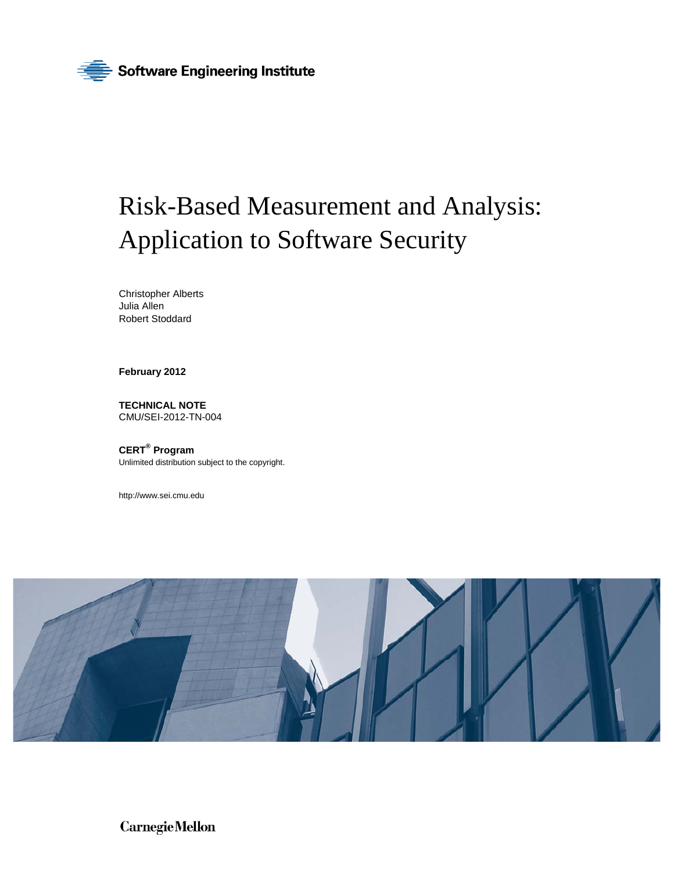

# Risk-Based Measurement and Analysis: Application to Software Security

Christopher Alberts Julia Allen Robert Stoddard

**February 2012** 

**TECHNICAL NOTE**  CMU/SEI-2012-TN-004

**CERT® Program**  Unlimited distribution subject to the copyright.

<http://www.sei.cmu.edu>



**CarnegieMellon**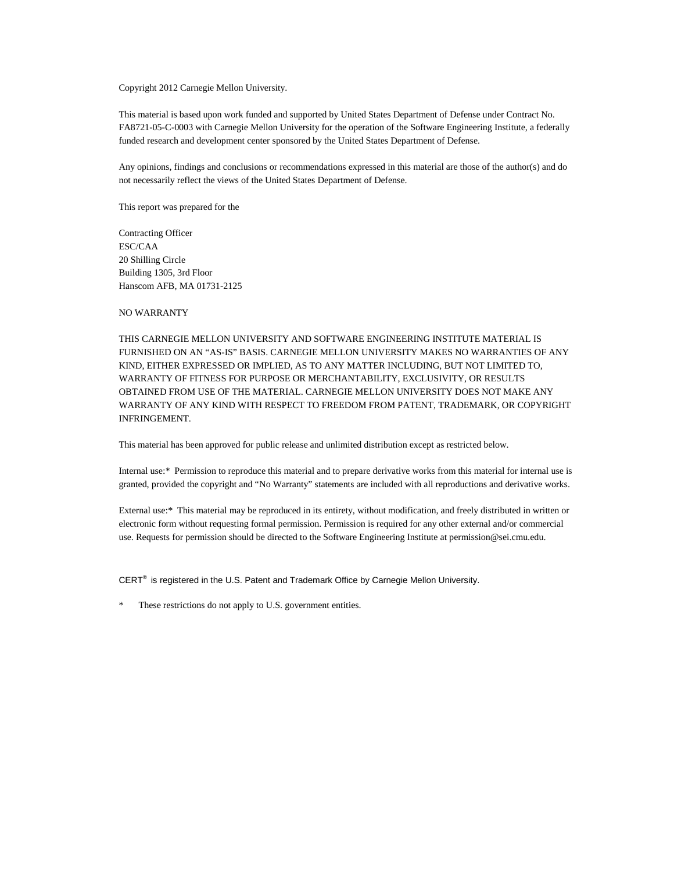Copyright 2012 Carnegie Mellon University.

This material is based upon work funded and supported by United States Department of Defense under Contract No. FA8721-05-C-0003 with Carnegie Mellon University for the operation of the Software Engineering Institute, a federally funded research and development center sponsored by the United States Department of Defense.

Any opinions, findings and conclusions or recommendations expressed in this material are those of the author(s) and do not necessarily reflect the views of the United States Department of Defense.

This report was prepared for the

Contracting Officer ESC/CAA 20 Shilling Circle Building 1305, 3rd Floor Hanscom AFB, MA 01731-2125

#### NO WARRANTY

THIS CARNEGIE MELLON UNIVERSITY AND SOFTWARE ENGINEERING INSTITUTE MATERIAL IS FURNISHED ON AN "AS-IS" BASIS. CARNEGIE MELLON UNIVERSITY MAKES NO WARRANTIES OF ANY KIND, EITHER EXPRESSED OR IMPLIED, AS TO ANY MATTER INCLUDING, BUT NOT LIMITED TO, WARRANTY OF FITNESS FOR PURPOSE OR MERCHANTABILITY, EXCLUSIVITY, OR RESULTS OBTAINED FROM USE OF THE MATERIAL. CARNEGIE MELLON UNIVERSITY DOES NOT MAKE ANY WARRANTY OF ANY KIND WITH RESPECT TO FREEDOM FROM PATENT, TRADEMARK, OR COPYRIGHT INFRINGEMENT.

This material has been approved for public release and unlimited distribution except as restricted below.

Internal use:\* Permission to reproduce this material and to prepare derivative works from this material for internal use is granted, provided the copyright and "No Warranty" statements are included with all reproductions and derivative works.

External use:\* This material may be reproduced in its entirety, without modification, and freely distributed in written or electronic form without requesting formal permission. Permission is required for any other external and/or commercial use. Requests for permission should be directed to the Software Engineering Institute at [permission@sei.cmu.edu.](mailto:permission@sei.cmu.edu) 

CERT® is registered in the U.S. Patent and Trademark Office by Carnegie Mellon University.

\* These restrictions do not apply to U.S. government entities.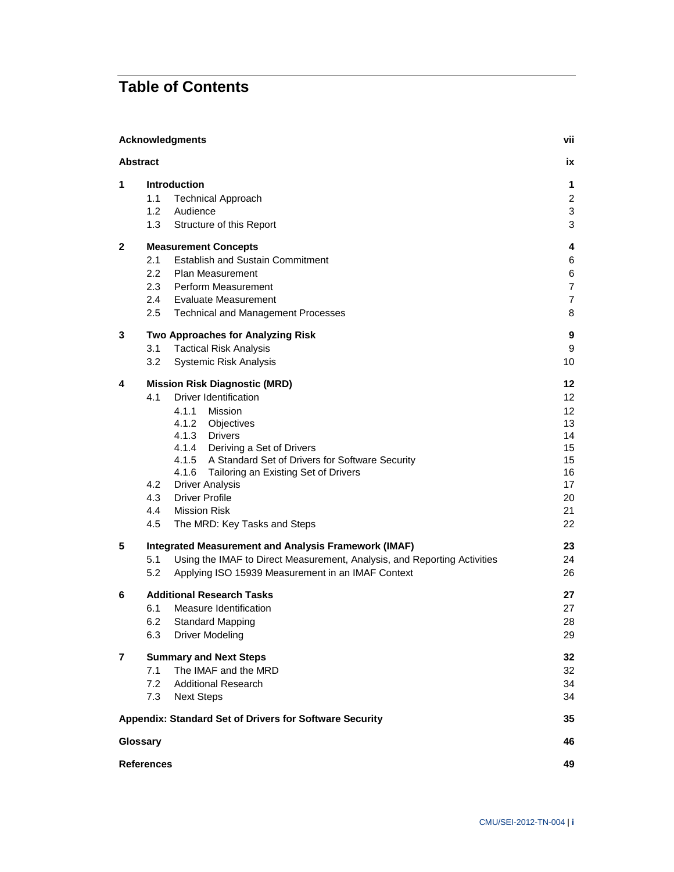# **Table of Contents**

| <b>Acknowledgments</b>                                                                                                                                                                                                                                                                                                                                                                                                 | vii                                                                  |
|------------------------------------------------------------------------------------------------------------------------------------------------------------------------------------------------------------------------------------------------------------------------------------------------------------------------------------------------------------------------------------------------------------------------|----------------------------------------------------------------------|
| <b>Abstract</b>                                                                                                                                                                                                                                                                                                                                                                                                        | ix                                                                   |
| <b>Introduction</b><br>1<br>1.1<br><b>Technical Approach</b><br>1.2<br>Audience<br>1.3<br>Structure of this Report                                                                                                                                                                                                                                                                                                     | 1<br>$\overline{2}$<br>$\ensuremath{\mathsf{3}}$<br>3                |
| $\mathbf{2}$<br><b>Measurement Concepts</b><br>2.1<br><b>Establish and Sustain Commitment</b><br>2.2<br><b>Plan Measurement</b><br>2.3<br>Perform Measurement<br>$2.4^{\circ}$<br>Evaluate Measurement<br>2.5<br><b>Technical and Management Processes</b>                                                                                                                                                             | 4<br>6<br>6<br>$\overline{7}$<br>$\overline{7}$<br>8                 |
| 3<br>Two Approaches for Analyzing Risk<br>3.1<br><b>Tactical Risk Analysis</b><br>3.2<br>Systemic Risk Analysis                                                                                                                                                                                                                                                                                                        | 9<br>9<br>10                                                         |
| <b>Mission Risk Diagnostic (MRD)</b><br>4<br>4.1<br><b>Driver Identification</b><br>4.1.1 Mission<br>4.1.2 Objectives<br>4.1.3 Drivers<br>4.1.4 Deriving a Set of Drivers<br>4.1.5 A Standard Set of Drivers for Software Security<br>4.1.6 Tailoring an Existing Set of Drivers<br>4.2<br><b>Driver Analysis</b><br><b>Driver Profile</b><br>4.3<br>4.4<br><b>Mission Risk</b><br>4.5<br>The MRD: Key Tasks and Steps | 12<br>12<br>12<br>13<br>14<br>15<br>15<br>16<br>17<br>20<br>21<br>22 |
| 5<br><b>Integrated Measurement and Analysis Framework (IMAF)</b><br>Using the IMAF to Direct Measurement, Analysis, and Reporting Activities<br>5.1<br>Applying ISO 15939 Measurement in an IMAF Context<br>5.2                                                                                                                                                                                                        | 23<br>24<br>26                                                       |
| <b>Additional Research Tasks</b><br>6<br>6.1<br>Measure Identification<br>6.2<br><b>Standard Mapping</b><br><b>Driver Modeling</b><br>6.3                                                                                                                                                                                                                                                                              | 27<br>27<br>28<br>29                                                 |
| <b>Summary and Next Steps</b><br>7<br>The IMAF and the MRD<br>7.1<br>7.2<br><b>Additional Research</b><br>7.3<br><b>Next Steps</b>                                                                                                                                                                                                                                                                                     | 32<br>32<br>34<br>34                                                 |
| Appendix: Standard Set of Drivers for Software Security                                                                                                                                                                                                                                                                                                                                                                | 35                                                                   |
| Glossary                                                                                                                                                                                                                                                                                                                                                                                                               | 46                                                                   |
| <b>References</b>                                                                                                                                                                                                                                                                                                                                                                                                      | 49                                                                   |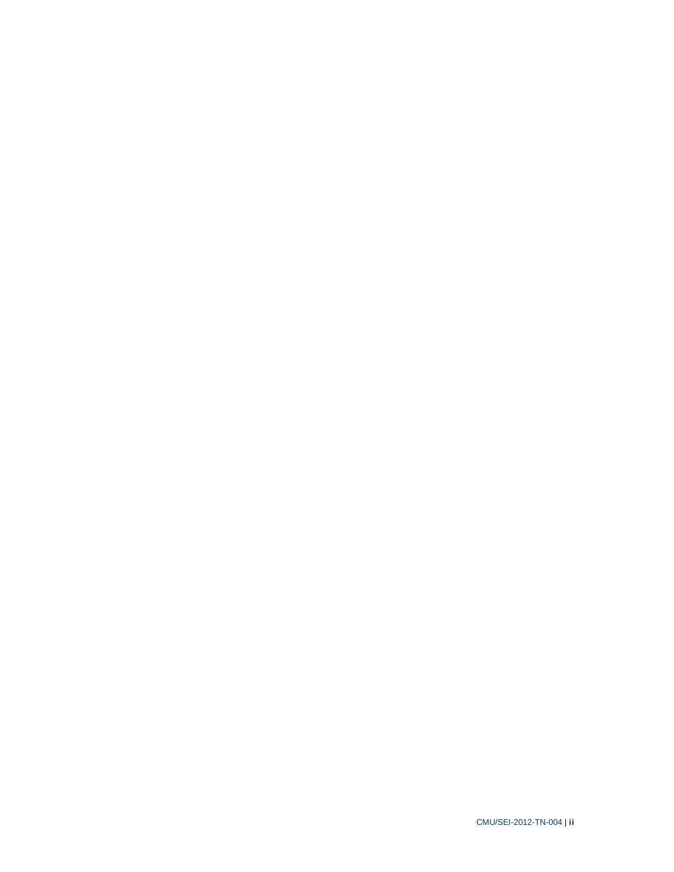CMU/SEI-2012-TN-004 | ii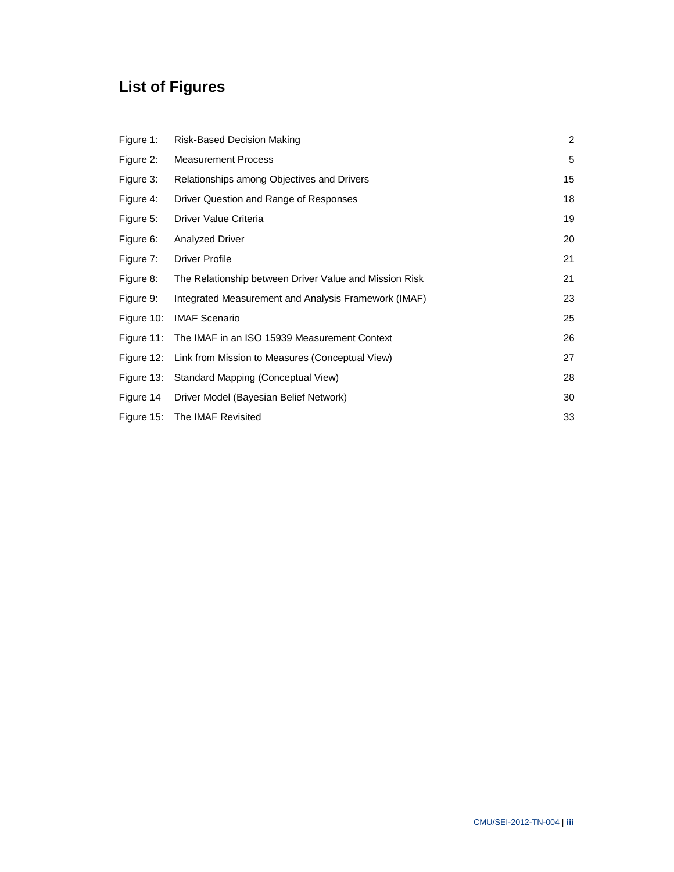# **List of Figures**

| Figure 1:  | Risk-Based Decision Making                             | 2  |
|------------|--------------------------------------------------------|----|
| Figure 2:  | <b>Measurement Process</b>                             | 5  |
| Figure 3:  | Relationships among Objectives and Drivers             | 15 |
| Figure 4:  | Driver Question and Range of Responses                 | 18 |
| Figure 5:  | Driver Value Criteria                                  | 19 |
| Figure 6:  | <b>Analyzed Driver</b>                                 | 20 |
| Figure 7:  | <b>Driver Profile</b>                                  | 21 |
| Figure 8:  | The Relationship between Driver Value and Mission Risk | 21 |
| Figure 9:  | Integrated Measurement and Analysis Framework (IMAF)   | 23 |
| Figure 10: | <b>IMAF Scenario</b>                                   | 25 |
| Figure 11: | The IMAF in an ISO 15939 Measurement Context           | 26 |
| Figure 12: | Link from Mission to Measures (Conceptual View)        | 27 |
|            | Figure 13: Standard Mapping (Conceptual View)          | 28 |
| Figure 14  | Driver Model (Bayesian Belief Network)                 | 30 |
|            | Figure 15: The IMAF Revisited                          | 33 |
|            |                                                        |    |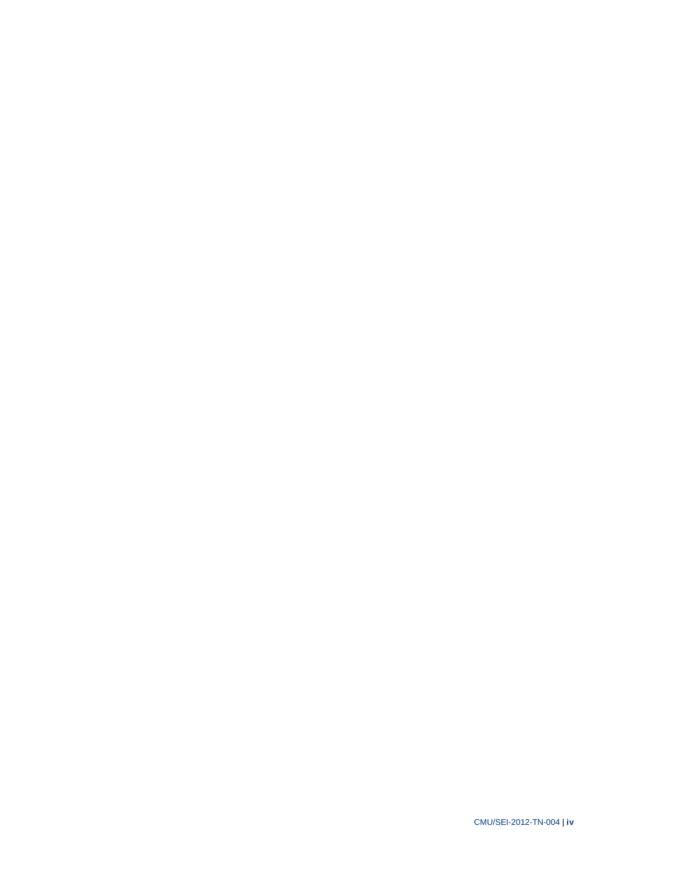CMU/SEI-2012-TN-004 | iv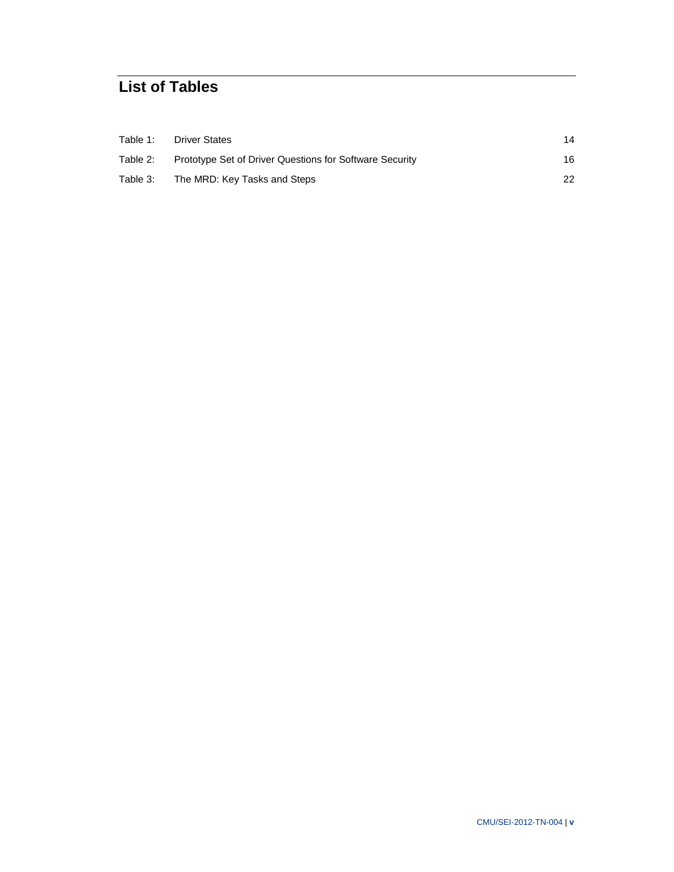# **List of Tables**

| Table 1: | <b>Driver States</b>                                    | 14 |
|----------|---------------------------------------------------------|----|
| Table 2: | Prototype Set of Driver Questions for Software Security | 16 |
| Table 3: | The MRD: Key Tasks and Steps                            | 22 |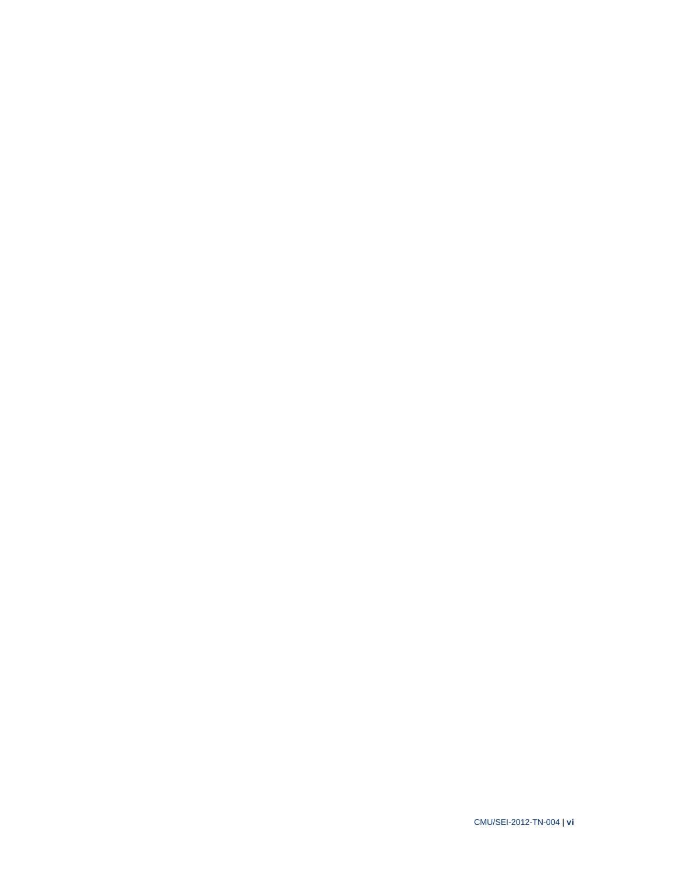CMU/SEI-2012-TN-004 | vi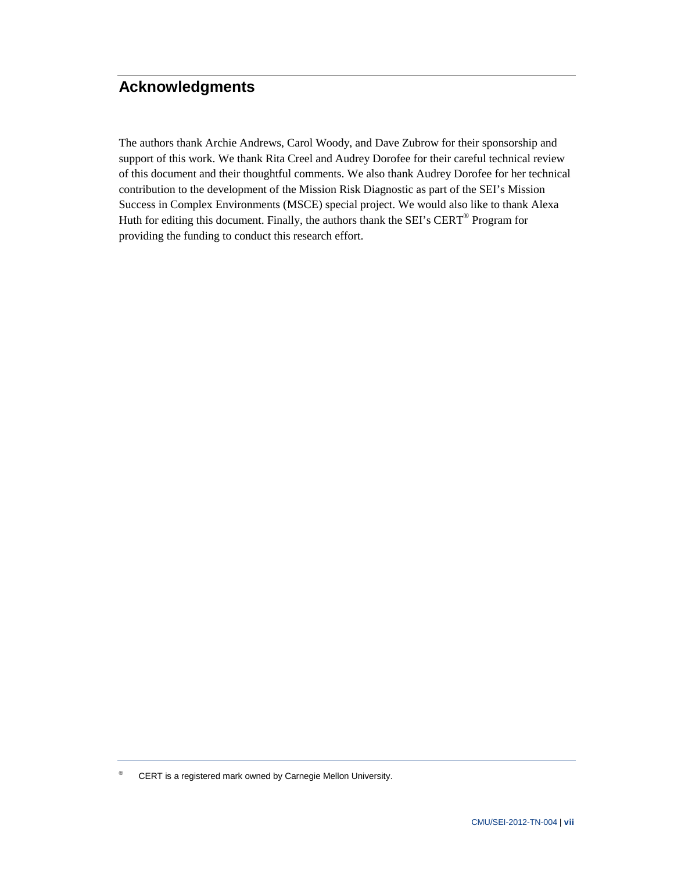# **Acknowledgments**

The authors thank Archie Andrews, Carol Woody, and Dave Zubrow for their sponsorship and support of this work. We thank Rita Creel and Audrey Dorofee for their careful technical review of this document and their thoughtful comments. We also thank Audrey Dorofee for her technical contribution to the development of the Mission Risk Diagnostic as part of the SEI's Mission Success in Complex Environments (MSCE) special project. We would also like to thank Alexa Huth for editing this document. Finally, the authors thank the SEI's CERT<sup>®</sup> Program for providing the funding to conduct this research effort.

<sup>®</sup> CERT is a registered mark owned by Carnegie Mellon University.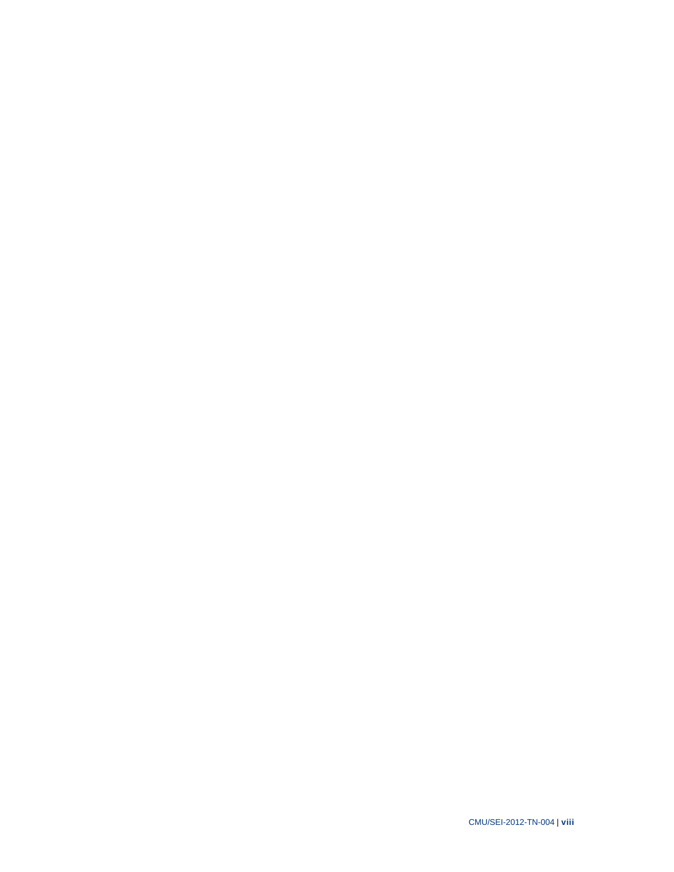CMU/SEI-2012-TN-004 | viii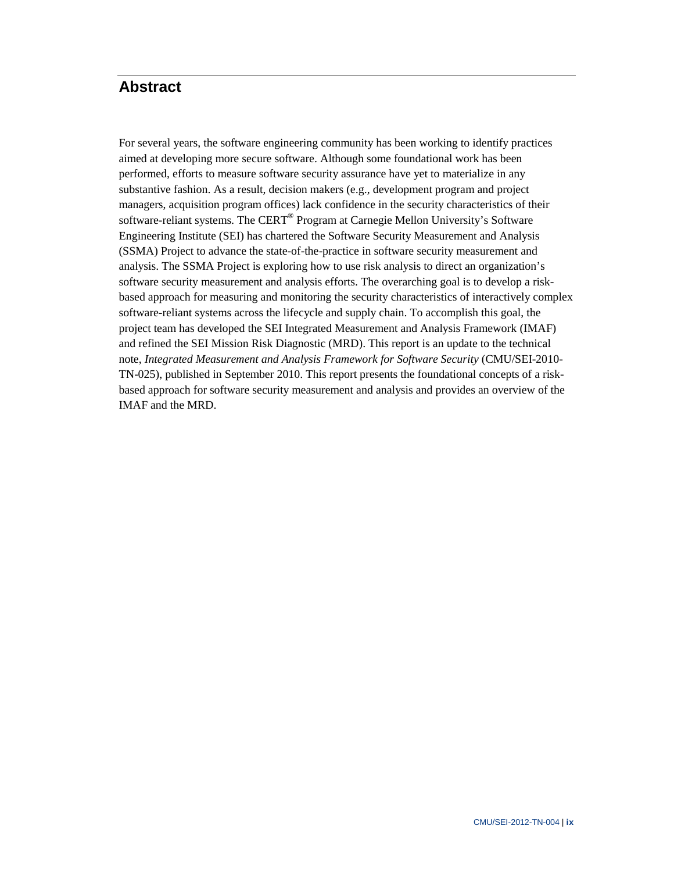# **Abstract**

For several years, the software engineering community has been working to identify practices aimed at developing more secure software. Although some foundational work has been performed, efforts to measure software security assurance have yet to materialize in any substantive fashion. As a result, decision makers (e.g., development program and project managers, acquisition program offices) lack confidence in the security characteristics of their software-reliant systems. The CERT<sup>®</sup> Program at Carnegie Mellon University's Software Engineering Institute (SEI) has chartered the Software Security Measurement and Analysis (SSMA) Project to advance the state-of-the-practice in software security measurement and analysis. The SSMA Project is exploring how to use risk analysis to direct an organization's software security measurement and analysis efforts. The overarching goal is to develop a riskbased approach for measuring and monitoring the security characteristics of interactively complex software-reliant systems across the lifecycle and supply chain. To accomplish this goal, the project team has developed the SEI Integrated Measurement and Analysis Framework (IMAF) and refined the SEI Mission Risk Diagnostic (MRD). This report is an update to the technical note, *Integrated Measurement and Analysis Framework for Software Security* (CMU/SEI-2010- TN-025), published in September 2010. This report presents the foundational concepts of a riskbased approach for software security measurement and analysis and provides an overview of the IMAF and the MRD.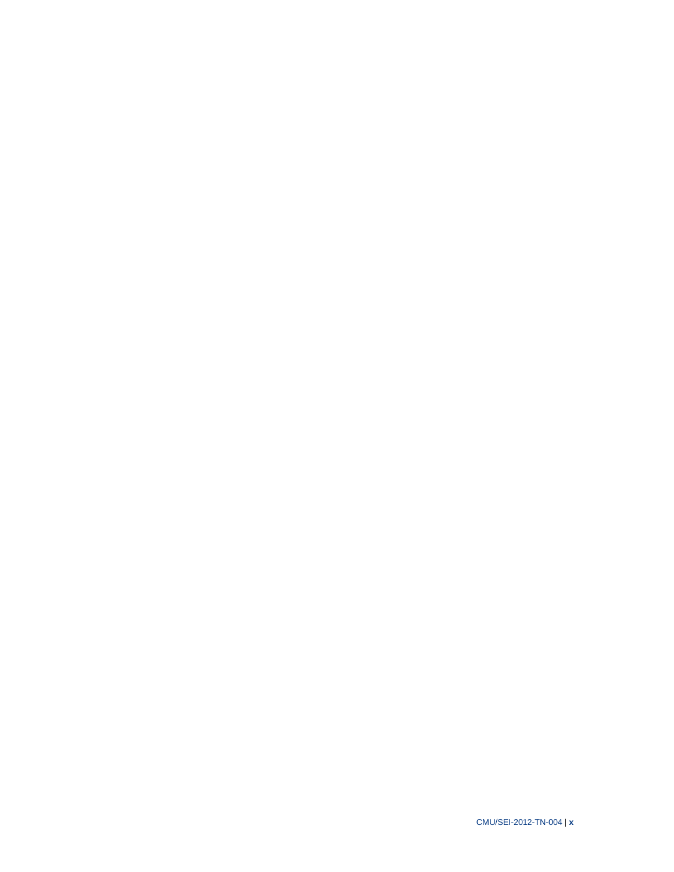CMU/SEI-2012-TN-004 | x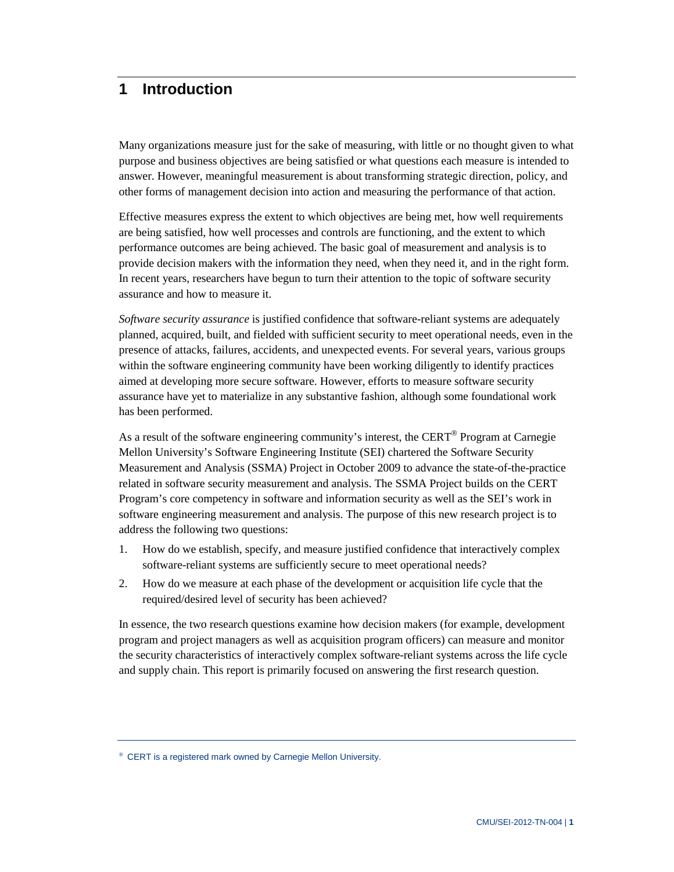# **1 Introduction**

Many organizations measure just for the sake of measuring, with little or no thought given to what purpose and business objectives are being satisfied or what questions each measure is intended to answer. However, meaningful measurement is about transforming strategic direction, policy, and other forms of management decision into action and measuring the performance of that action.

Effective measures express the extent to which objectives are being met, how well requirements are being satisfied, how well processes and controls are functioning, and the extent to which performance outcomes are being achieved. The basic goal of measurement and analysis is to provide decision makers with the information they need, when they need it, and in the right form. In recent years, researchers have begun to turn their attention to the topic of software security assurance and how to measure it.

*Software security assurance* is justified confidence that software-reliant systems are adequately planned, acquired, built, and fielded with sufficient security to meet operational needs, even in the presence of attacks, failures, accidents, and unexpected events. For several years, various groups within the software engineering community have been working diligently to identify practices aimed at developing more secure software. However, efforts to measure software security assurance have yet to materialize in any substantive fashion, although some foundational work has been performed.

As a result of the software engineering community's interest, the CERT<sup>®</sup> Program at Carnegie Mellon University's Software Engineering Institute (SEI) chartered the Software Security Measurement and Analysis (SSMA) Project in October 2009 to advance the state-of-the-practice related in software security measurement and analysis. The SSMA Project builds on the CERT Program's core competency in software and information security as well as the SEI's work in software engineering measurement and analysis. The purpose of this new research project is to address the following two questions:

- 1. How do we establish, specify, and measure justified confidence that interactively complex software-reliant systems are sufficiently secure to meet operational needs?
- 2. How do we measure at each phase of the development or acquisition life cycle that the required/desired level of security has been achieved?

In essence, the two research questions examine how decision makers (for example, development program and project managers as well as acquisition program officers) can measure and monitor the security characteristics of interactively complex software-reliant systems across the life cycle and supply chain. This report is primarily focused on answering the first research question.

<sup>®</sup> CERT is a registered mark owned by Carnegie Mellon University.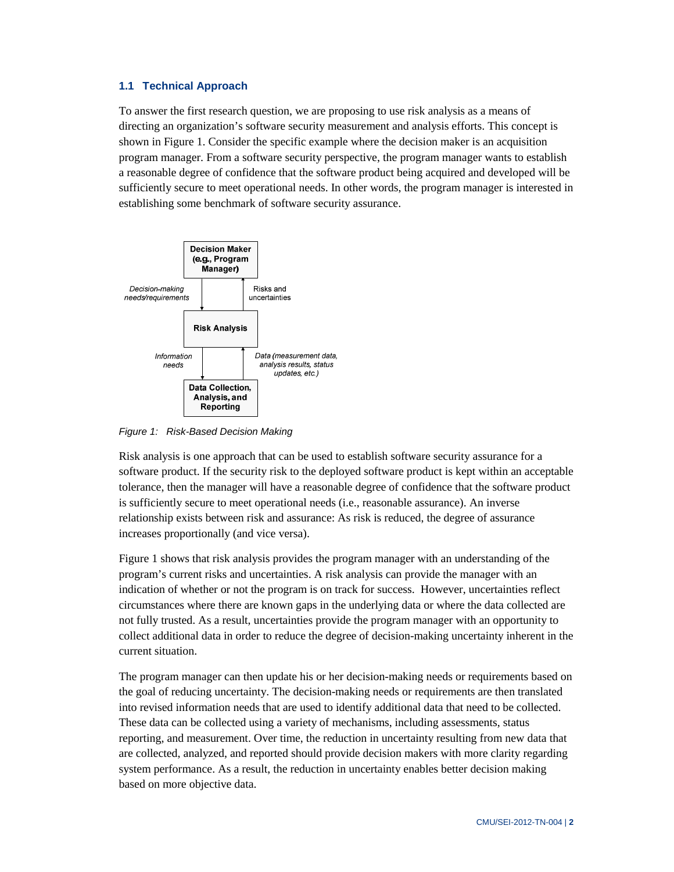### **1.1 Technical Approach**

To answer the first research question, we are proposing to use risk analysis as a means of directing an organization's software security measurement and analysis efforts. This concept is shown in Figure 1. Consider the specific example where the decision maker is an acquisition program manager. From a software security perspective, the program manager wants to establish a reasonable degree of confidence that the software product being acquired and developed will be sufficiently secure to meet operational needs. In other words, the program manager is interested in establishing some benchmark of software security assurance.



*Figure 1: Risk-Based Decision Making* 

Risk analysis is one approach that can be used to establish software security assurance for a software product. If the security risk to the deployed software product is kept within an acceptable tolerance, then the manager will have a reasonable degree of confidence that the software product is sufficiently secure to meet operational needs (i.e., reasonable assurance). An inverse relationship exists between risk and assurance: As risk is reduced, the degree of assurance increases proportionally (and vice versa).

Figure 1 shows that risk analysis provides the program manager with an understanding of the program's current risks and uncertainties. A risk analysis can provide the manager with an indication of whether or not the program is on track for success. However, uncertainties reflect circumstances where there are known gaps in the underlying data or where the data collected are not fully trusted. As a result, uncertainties provide the program manager with an opportunity to collect additional data in order to reduce the degree of decision-making uncertainty inherent in the current situation.

The program manager can then update his or her decision-making needs or requirements based on the goal of reducing uncertainty. The decision-making needs or requirements are then translated into revised information needs that are used to identify additional data that need to be collected. These data can be collected using a variety of mechanisms, including assessments, status reporting, and measurement. Over time, the reduction in uncertainty resulting from new data that are collected, analyzed, and reported should provide decision makers with more clarity regarding system performance. As a result, the reduction in uncertainty enables better decision making based on more objective data.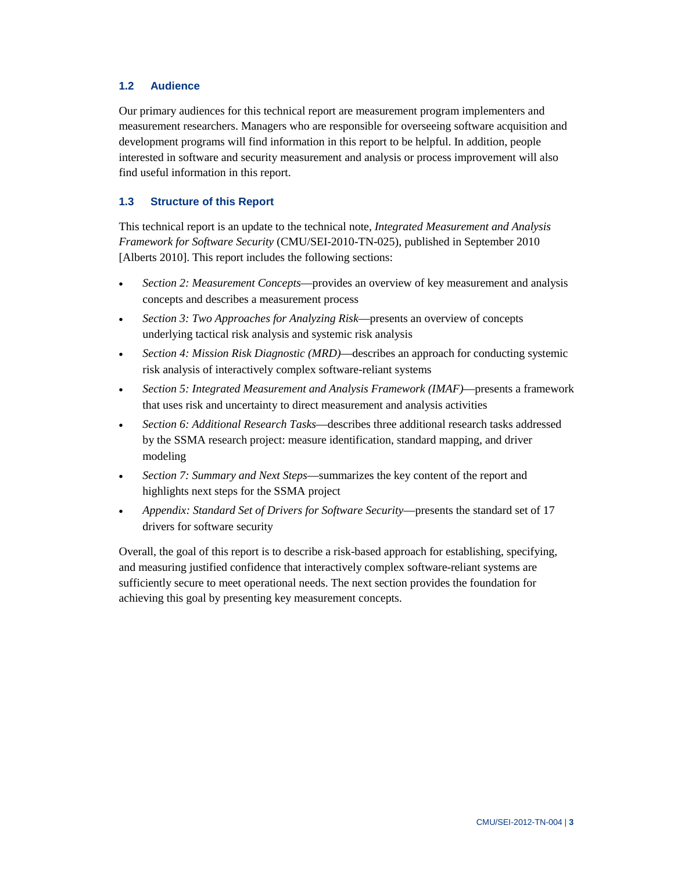### **1.2 Audience**

Our primary audiences for this technical report are measurement program implementers and measurement researchers. Managers who are responsible for overseeing software acquisition and development programs will find information in this report to be helpful. In addition, people interested in software and security measurement and analysis or process improvement will also find useful information in this report.

### **1.3 Structure of this Report**

This technical report is an update to the technical note, *Integrated Measurement and Analysis Framework for Software Security* (CMU/SEI-2010-TN-025), published in September 2010 [Alberts 2010]. This report includes the following sections:

- *Section 2: Measurement Concepts*—provides an overview of key measurement and analysis concepts and describes a measurement process
- *Section 3: Two Approaches for Analyzing Risk*—presents an overview of concepts underlying tactical risk analysis and systemic risk analysis
- *Section 4: Mission Risk Diagnostic (MRD)*—describes an approach for conducting systemic risk analysis of interactively complex software-reliant systems
- *Section 5: Integrated Measurement and Analysis Framework (IMAF)*—presents a framework that uses risk and uncertainty to direct measurement and analysis activities
- *Section 6: Additional Research Tasks*—describes three additional research tasks addressed by the SSMA research project: measure identification, standard mapping, and driver modeling
- *Section 7: Summary and Next Steps*—summarizes the key content of the report and highlights next steps for the SSMA project
- *Appendix: Standard Set of Drivers for Software Security*—presents the standard set of 17 drivers for software security

Overall, the goal of this report is to describe a risk-based approach for establishing, specifying, and measuring justified confidence that interactively complex software-reliant systems are sufficiently secure to meet operational needs. The next section provides the foundation for achieving this goal by presenting key measurement concepts.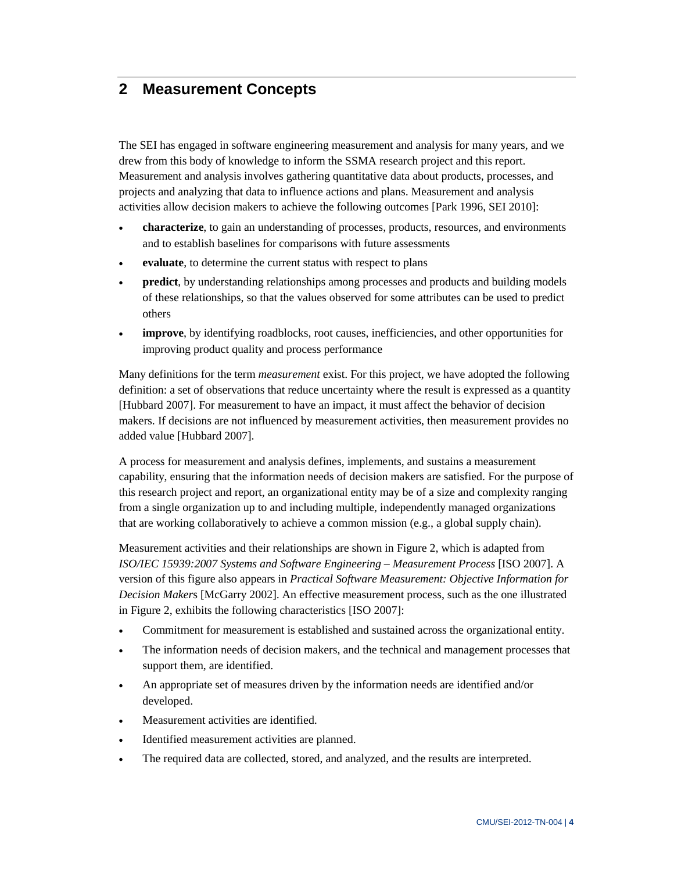# **2 Measurement Concepts**

The SEI has engaged in software engineering measurement and analysis for many years, and we drew from this body of knowledge to inform the SSMA research project and this report. Measurement and analysis involves gathering quantitative data about products, processes, and projects and analyzing that data to influence actions and plans. Measurement and analysis activities allow decision makers to achieve the following outcomes [Park 1996, SEI 2010]:

- **characterize**, to gain an understanding of processes, products, resources, and environments and to establish baselines for comparisons with future assessments
- **evaluate**, to determine the current status with respect to plans
- **predict**, by understanding relationships among processes and products and building models of these relationships, so that the values observed for some attributes can be used to predict others
- **improve**, by identifying roadblocks, root causes, inefficiencies, and other opportunities for improving product quality and process performance

Many definitions for the term *measurement* exist. For this project, we have adopted the following definition: a set of observations that reduce uncertainty where the result is expressed as a quantity [Hubbard 2007]. For measurement to have an impact, it must affect the behavior of decision makers. If decisions are not influenced by measurement activities, then measurement provides no added value [Hubbard 2007].

A process for measurement and analysis defines, implements, and sustains a measurement capability, ensuring that the information needs of decision makers are satisfied. For the purpose of this research project and report, an organizational entity may be of a size and complexity ranging from a single organization up to and including multiple, independently managed organizations that are working collaboratively to achieve a common mission (e.g., a global supply chain).

Measurement activities and their relationships are shown in Figure 2, which is adapted from *ISO/IEC 15939:2007 Systems and Software Engineering – Measurement Process* [ISO 2007]. A version of this figure also appears in *Practical Software Measurement: Objective Information for Decision Maker*s [McGarry 2002]. An effective measurement process, such as the one illustrated in Figure 2, exhibits the following characteristics [ISO 2007]:

- Commitment for measurement is established and sustained across the organizational entity.
- The information needs of decision makers, and the technical and management processes that support them, are identified.
- An appropriate set of measures driven by the information needs are identified and/or developed.
- Measurement activities are identified.
- Identified measurement activities are planned.
- The required data are collected, stored, and analyzed, and the results are interpreted.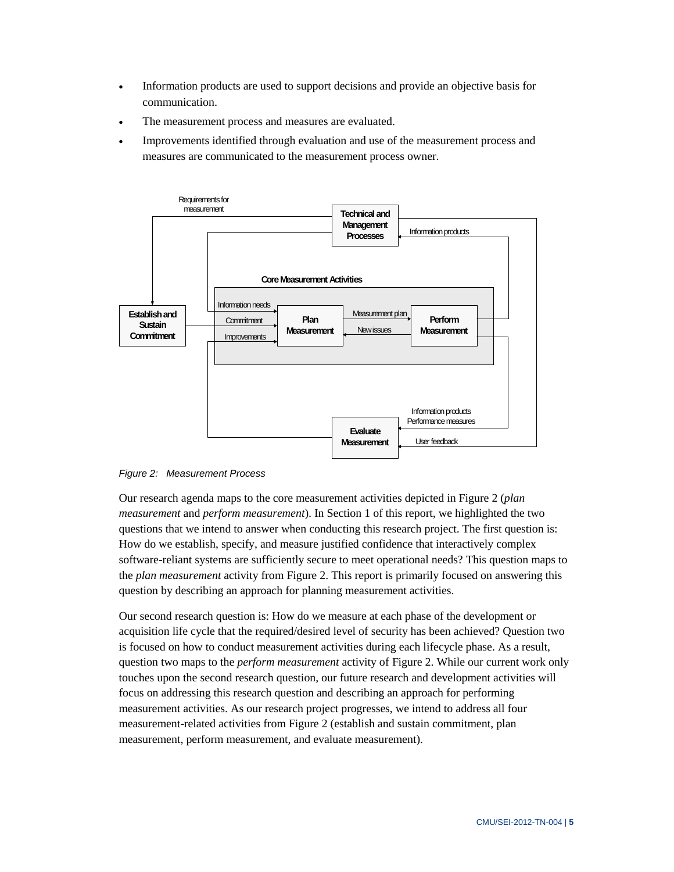- Information products are used to support decisions and provide an objective basis for communication.
- The measurement process and measures are evaluated.
- Improvements identified through evaluation and use of the measurement process and measures are communicated to the measurement process owner.



*Figure 2: Measurement Process* 

Our research agenda maps to the core measurement activities depicted in Figure 2 (*plan measurement* and *perform measurement*). In Section 1 of this report, we highlighted the two questions that we intend to answer when conducting this research project. The first question is: How do we establish, specify, and measure justified confidence that interactively complex software-reliant systems are sufficiently secure to meet operational needs? This question maps to the *plan measurement* activity from Figure 2. This report is primarily focused on answering this question by describing an approach for planning measurement activities.

Our second research question is: How do we measure at each phase of the development or acquisition life cycle that the required/desired level of security has been achieved? Question two is focused on how to conduct measurement activities during each lifecycle phase. As a result, question two maps to the *perform measurement* activity of Figure 2. While our current work only touches upon the second research question, our future research and development activities will focus on addressing this research question and describing an approach for performing measurement activities. As our research project progresses, we intend to address all four measurement-related activities from Figure 2 (establish and sustain commitment, plan measurement, perform measurement, and evaluate measurement).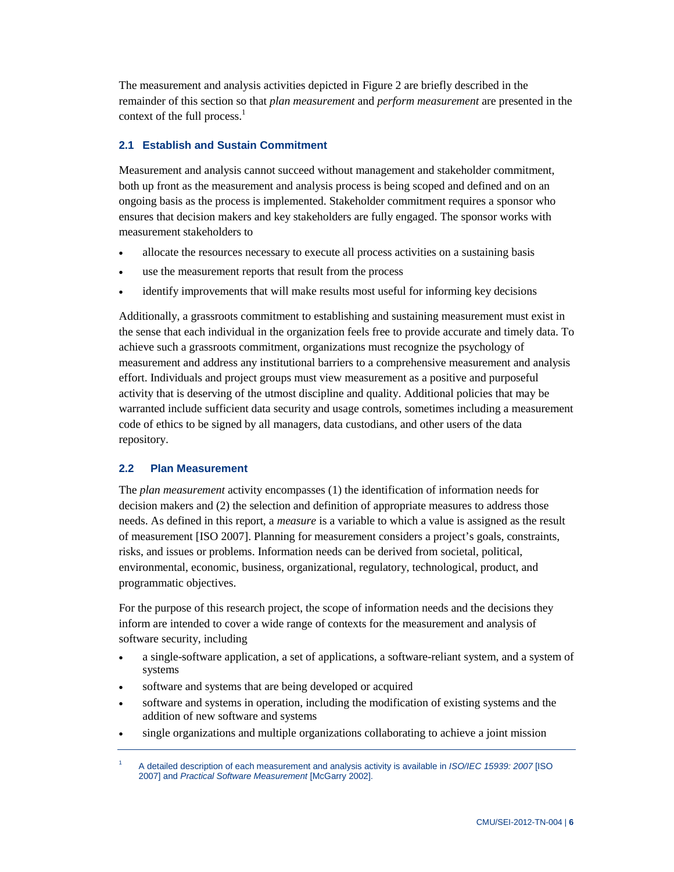The measurement and analysis activities depicted in Figure 2 are briefly described in the remainder of this section so that *plan measurement* and *perform measurement* are presented in the context of the full process. $<sup>1</sup>$ </sup>

# **2.1 Establish and Sustain Commitment**

Measurement and analysis cannot succeed without management and stakeholder commitment, both up front as the measurement and analysis process is being scoped and defined and on an ongoing basis as the process is implemented. Stakeholder commitment requires a sponsor who ensures that decision makers and key stakeholders are fully engaged. The sponsor works with measurement stakeholders to

- allocate the resources necessary to execute all process activities on a sustaining basis
- use the measurement reports that result from the process
- identify improvements that will make results most useful for informing key decisions

Additionally, a grassroots commitment to establishing and sustaining measurement must exist in the sense that each individual in the organization feels free to provide accurate and timely data. To achieve such a grassroots commitment, organizations must recognize the psychology of measurement and address any institutional barriers to a comprehensive measurement and analysis effort. Individuals and project groups must view measurement as a positive and purposeful activity that is deserving of the utmost discipline and quality. Additional policies that may be warranted include sufficient data security and usage controls, sometimes including a measurement code of ethics to be signed by all managers, data custodians, and other users of the data repository.

# **2.2 Plan Measurement**

The *plan measurement* activity encompasses (1) the identification of information needs for decision makers and (2) the selection and definition of appropriate measures to address those needs. As defined in this report, a *measure* is a variable to which a value is assigned as the result of measurement [ISO 2007]. Planning for measurement considers a project's goals, constraints, risks, and issues or problems. Information needs can be derived from societal, political, environmental, economic, business, organizational, regulatory, technological, product, and programmatic objectives.

For the purpose of this research project, the scope of information needs and the decisions they inform are intended to cover a wide range of contexts for the measurement and analysis of software security, including

- a single-software application, a set of applications, a software-reliant system, and a system of systems
- software and systems that are being developed or acquired
- software and systems in operation, including the modification of existing systems and the addition of new software and systems
- single organizations and multiple organizations collaborating to achieve a joint mission

<sup>1</sup> A detailed description of each measurement and analysis activity is available in *ISO/IEC 15939: 2007* [ISO 2007] and *Practical Software Measurement* [McGarry 2002].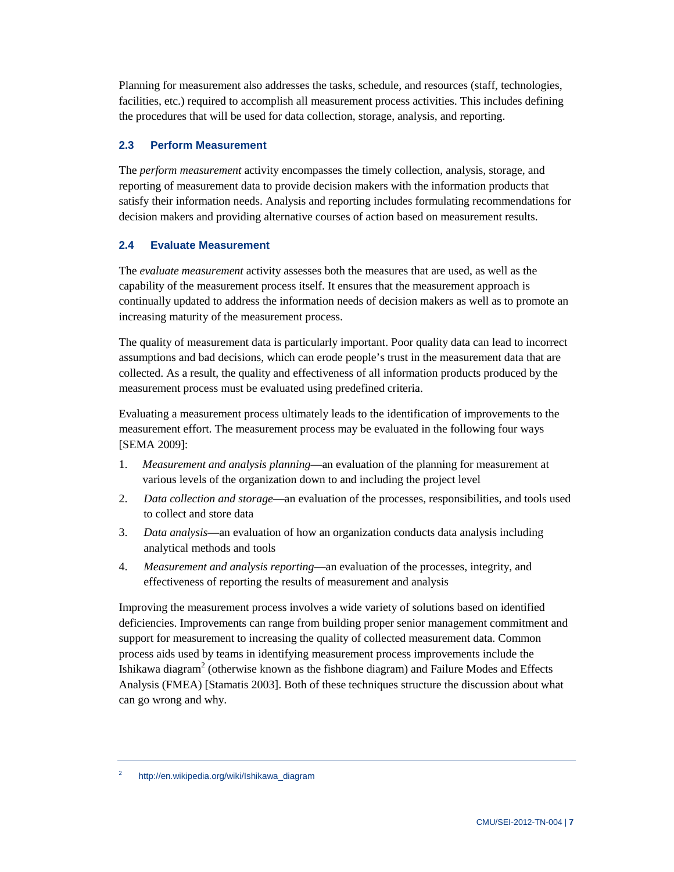Planning for measurement also addresses the tasks, schedule, and resources (staff, technologies, facilities, etc.) required to accomplish all measurement process activities. This includes defining the procedures that will be used for data collection, storage, analysis, and reporting.

# **2.3 Perform Measurement**

The *perform measurement* activity encompasses the timely collection, analysis, storage, and reporting of measurement data to provide decision makers with the information products that satisfy their information needs. Analysis and reporting includes formulating recommendations for decision makers and providing alternative courses of action based on measurement results.

# **2.4 Evaluate Measurement**

The *evaluate measurement* activity assesses both the measures that are used, as well as the capability of the measurement process itself. It ensures that the measurement approach is continually updated to address the information needs of decision makers as well as to promote an increasing maturity of the measurement process.

The quality of measurement data is particularly important. Poor quality data can lead to incorrect assumptions and bad decisions, which can erode people's trust in the measurement data that are collected. As a result, the quality and effectiveness of all information products produced by the measurement process must be evaluated using predefined criteria.

Evaluating a measurement process ultimately leads to the identification of improvements to the measurement effort. The measurement process may be evaluated in the following four ways [SEMA 2009]:

- 1. *Measurement and analysis planning*—an evaluation of the planning for measurement at various levels of the organization down to and including the project level
- 2. *Data collection and storage*—an evaluation of the processes, responsibilities, and tools used to collect and store data
- 3. *Data analysis*—an evaluation of how an organization conducts data analysis including analytical methods and tools
- 4. *Measurement and analysis reporting*—an evaluation of the processes, integrity, and effectiveness of reporting the results of measurement and analysis

Improving the measurement process involves a wide variety of solutions based on identified deficiencies. Improvements can range from building proper senior management commitment and support for measurement to increasing the quality of collected measurement data. Common process aids used by teams in identifying measurement process improvements include the Ishikawa diagram<sup>2</sup> (otherwise known as the fishbone diagram) and Failure Modes and Effects Analysis (FMEA) [Stamatis 2003]. Both of these techniques structure the discussion about what can go wrong and why.

<sup>2</sup> [http://en.wikipedia.org/wiki/Ishikawa\\_diagram](http://en.wikipedia.org/wiki/Ishikawa_diagram)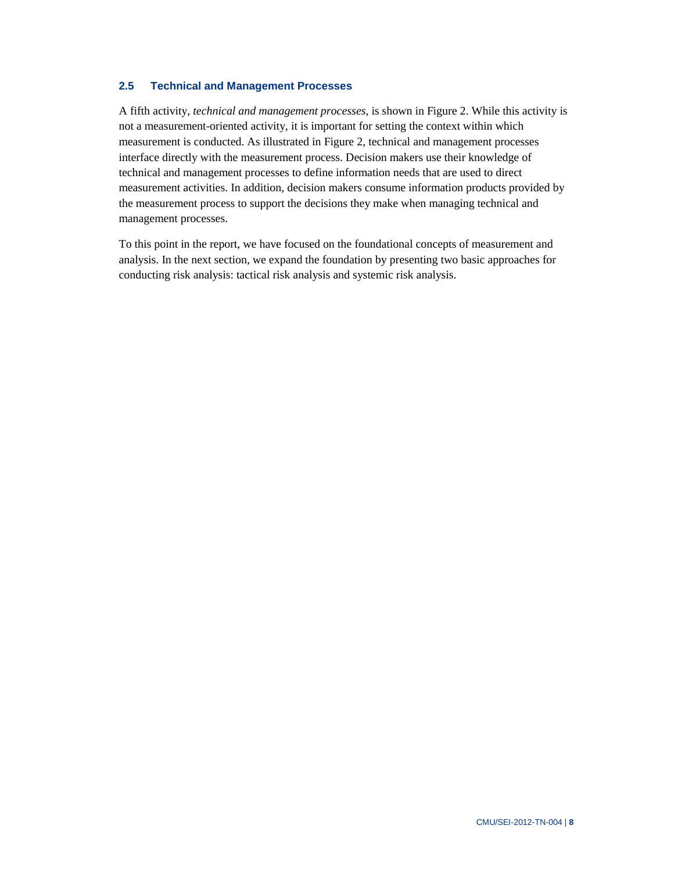### **2.5 Technical and Management Processes**

A fifth activity, *technical and management processes*, is shown in Figure 2. While this activity is not a measurement-oriented activity, it is important for setting the context within which measurement is conducted. As illustrated in Figure 2, technical and management processes interface directly with the measurement process. Decision makers use their knowledge of technical and management processes to define information needs that are used to direct measurement activities. In addition, decision makers consume information products provided by the measurement process to support the decisions they make when managing technical and management processes.

To this point in the report, we have focused on the foundational concepts of measurement and analysis. In the next section, we expand the foundation by presenting two basic approaches for conducting risk analysis: tactical risk analysis and systemic risk analysis.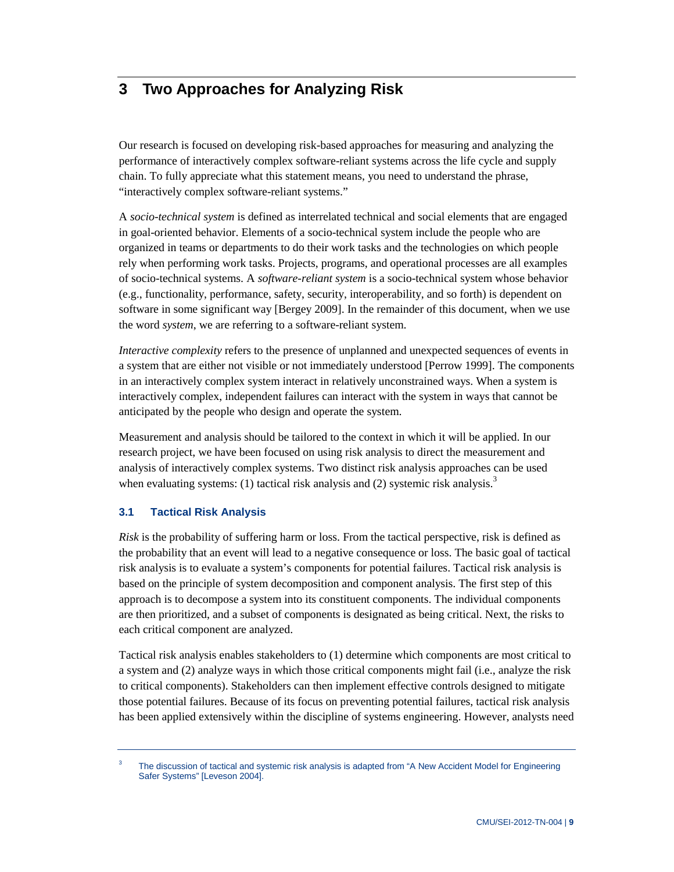# **3 Two Approaches for Analyzing Risk**

Our research is focused on developing risk-based approaches for measuring and analyzing the performance of interactively complex software-reliant systems across the life cycle and supply chain. To fully appreciate what this statement means, you need to understand the phrase, "interactively complex software-reliant systems."

A *socio-technical system* is defined as interrelated technical and social elements that are engaged in goal-oriented behavior. Elements of a socio-technical system include the people who are organized in teams or departments to do their work tasks and the technologies on which people rely when performing work tasks. Projects, programs, and operational processes are all examples of socio-technical systems. A *software-reliant system* is a socio-technical system whose behavior (e.g., functionality, performance, safety, security, interoperability, and so forth) is dependent on software in some significant way [Bergey 2009]. In the remainder of this document, when we use the word *system*, we are referring to a software-reliant system.

*Interactive complexity* refers to the presence of unplanned and unexpected sequences of events in a system that are either not visible or not immediately understood [Perrow 1999]. The components in an interactively complex system interact in relatively unconstrained ways. When a system is interactively complex, independent failures can interact with the system in ways that cannot be anticipated by the people who design and operate the system.

Measurement and analysis should be tailored to the context in which it will be applied. In our research project, we have been focused on using risk analysis to direct the measurement and analysis of interactively complex systems. Two distinct risk analysis approaches can be used when evaluating systems: (1) tactical risk analysis and (2) systemic risk analysis.<sup>3</sup>

# **3.1 Tactical Risk Analysis**

*Risk* is the probability of suffering harm or loss. From the tactical perspective, risk is defined as the probability that an event will lead to a negative consequence or loss. The basic goal of tactical risk analysis is to evaluate a system's components for potential failures. Tactical risk analysis is based on the principle of system decomposition and component analysis. The first step of this approach is to decompose a system into its constituent components. The individual components are then prioritized, and a subset of components is designated as being critical. Next, the risks to each critical component are analyzed.

Tactical risk analysis enables stakeholders to (1) determine which components are most critical to a system and (2) analyze ways in which those critical components might fail (i.e., analyze the risk to critical components). Stakeholders can then implement effective controls designed to mitigate those potential failures. Because of its focus on preventing potential failures, tactical risk analysis has been applied extensively within the discipline of systems engineering. However, analysts need

<sup>3</sup> The discussion of tactical and systemic risk analysis is adapted from "A New Accident Model for Engineering Safer Systems" [Leveson 2004].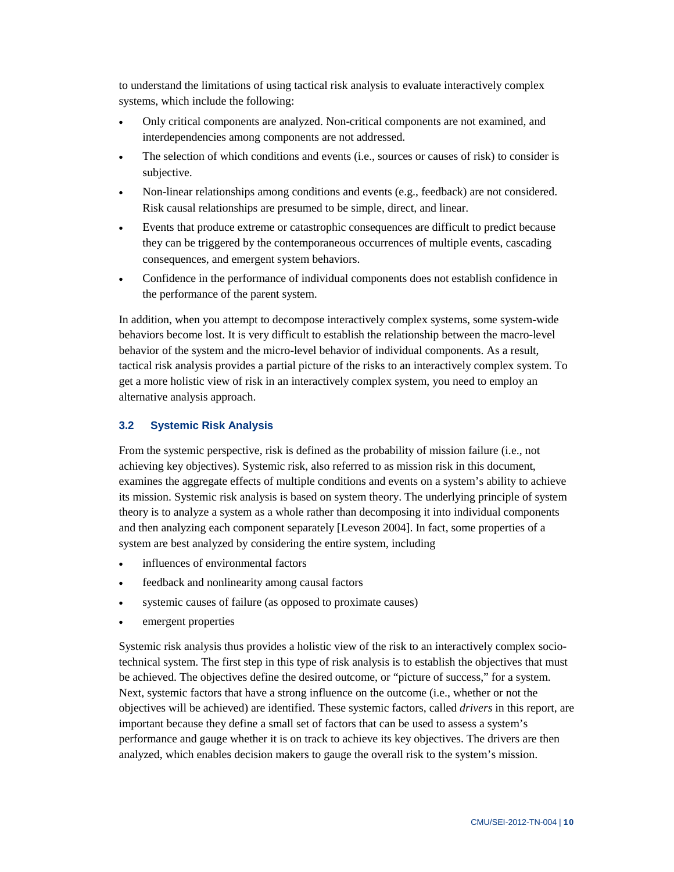to understand the limitations of using tactical risk analysis to evaluate interactively complex systems, which include the following:

- Only critical components are analyzed. Non-critical components are not examined, and interdependencies among components are not addressed.
- The selection of which conditions and events (i.e., sources or causes of risk) to consider is subjective.
- Non-linear relationships among conditions and events (e.g., feedback) are not considered. Risk causal relationships are presumed to be simple, direct, and linear.
- Events that produce extreme or catastrophic consequences are difficult to predict because they can be triggered by the contemporaneous occurrences of multiple events, cascading consequences, and emergent system behaviors.
- Confidence in the performance of individual components does not establish confidence in the performance of the parent system.

In addition, when you attempt to decompose interactively complex systems, some system-wide behaviors become lost. It is very difficult to establish the relationship between the macro-level behavior of the system and the micro-level behavior of individual components. As a result, tactical risk analysis provides a partial picture of the risks to an interactively complex system. To get a more holistic view of risk in an interactively complex system, you need to employ an alternative analysis approach.

# **3.2 Systemic Risk Analysis**

From the systemic perspective, risk is defined as the probability of mission failure (i.e., not achieving key objectives). Systemic risk, also referred to as mission risk in this document, examines the aggregate effects of multiple conditions and events on a system's ability to achieve its mission. Systemic risk analysis is based on system theory. The underlying principle of system theory is to analyze a system as a whole rather than decomposing it into individual components and then analyzing each component separately [Leveson 2004]. In fact, some properties of a system are best analyzed by considering the entire system, including

- influences of environmental factors
- feedback and nonlinearity among causal factors
- systemic causes of failure (as opposed to proximate causes)
- emergent properties

Systemic risk analysis thus provides a holistic view of the risk to an interactively complex sociotechnical system. The first step in this type of risk analysis is to establish the objectives that must be achieved. The objectives define the desired outcome, or "picture of success," for a system. Next, systemic factors that have a strong influence on the outcome (i.e., whether or not the objectives will be achieved) are identified. These systemic factors, called *drivers* in this report, are important because they define a small set of factors that can be used to assess a system's performance and gauge whether it is on track to achieve its key objectives. The drivers are then analyzed, which enables decision makers to gauge the overall risk to the system's mission.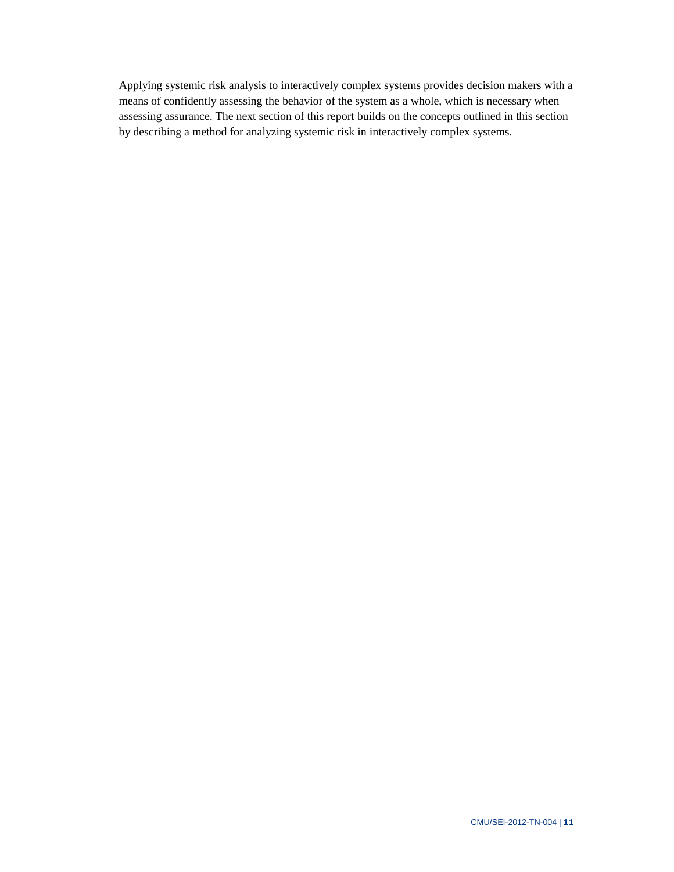Applying systemic risk analysis to interactively complex systems provides decision makers with a means of confidently assessing the behavior of the system as a whole, which is necessary when assessing assurance. The next section of this report builds on the concepts outlined in this section by describing a method for analyzing systemic risk in interactively complex systems.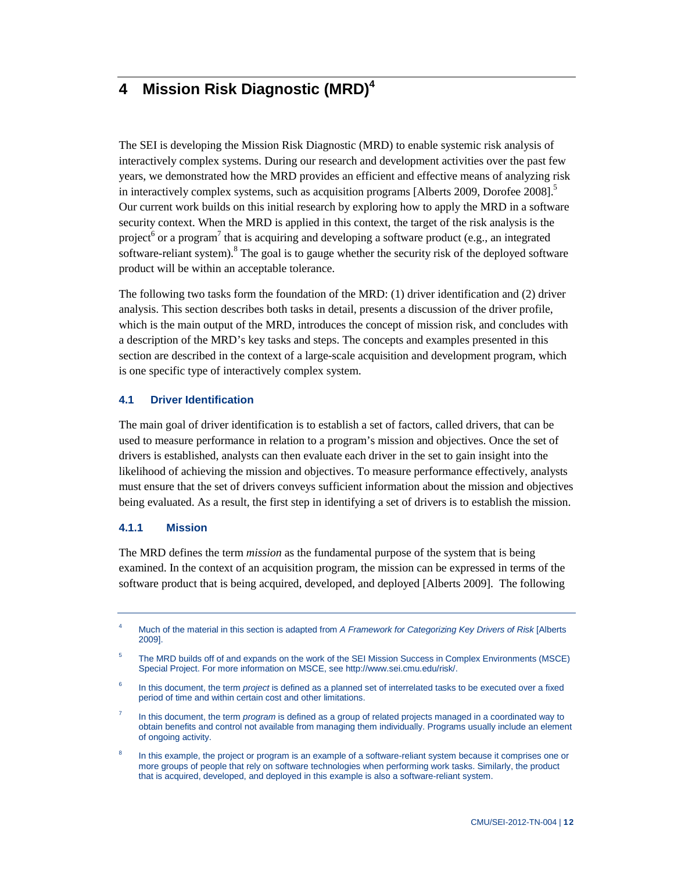# **4 Mission Risk Diagnostic (MRD)4**

The SEI is developing the Mission Risk Diagnostic (MRD) to enable systemic risk analysis of interactively complex systems. During our research and development activities over the past few years, we demonstrated how the MRD provides an efficient and effective means of analyzing risk in interactively complex systems, such as acquisition programs [Alberts 2009, Dorofee 2008].<sup>5</sup> Our current work builds on this initial research by exploring how to apply the MRD in a software security context. When the MRD is applied in this context, the target of the risk analysis is the project<sup>6</sup> or a program<sup>7</sup> that is acquiring and developing a software product (e.g., an integrated software-reliant system). <sup>8</sup> The goal is to gauge whether the security risk of the deployed software product will be within an acceptable tolerance.

The following two tasks form the foundation of the MRD: (1) driver identification and (2) driver analysis. This section describes both tasks in detail, presents a discussion of the driver profile, which is the main output of the MRD, introduces the concept of mission risk, and concludes with a description of the MRD's key tasks and steps. The concepts and examples presented in this section are described in the context of a large-scale acquisition and development program, which is one specific type of interactively complex system.

### **4.1 Driver Identification**

The main goal of driver identification is to establish a set of factors, called drivers, that can be used to measure performance in relation to a program's mission and objectives. Once the set of drivers is established, analysts can then evaluate each driver in the set to gain insight into the likelihood of achieving the mission and objectives. To measure performance effectively, analysts must ensure that the set of drivers conveys sufficient information about the mission and objectives being evaluated. As a result, the first step in identifying a set of drivers is to establish the mission.

### **4.1.1 Mission**

The MRD defines the term *mission* as the fundamental purpose of the system that is being examined. In the context of an acquisition program, the mission can be expressed in terms of the software product that is being acquired, developed, and deployed [Alberts 2009]. The following

<sup>4</sup> Much of the material in this section is adapted from *A Framework for Categorizing Key Drivers of Risk* [Alberts 2009].

<sup>5</sup> The MRD builds off of and expands on the work of the SEI Mission Success in Complex Environments (MSCE) Special Project. For more information on MSCE, see [http://www.sei.cmu.edu/risk/.](http://www.sei.cmu.edu/risk/) 

<sup>6</sup> In this document, the term *project* is defined as a planned set of interrelated tasks to be executed over a fixed period of time and within certain cost and other limitations.

<sup>7</sup> In this document, the term *program* is defined as a group of related projects managed in a coordinated way to obtain benefits and control not available from managing them individually. Programs usually include an element of ongoing activity.

<sup>8</sup> In this example, the project or program is an example of a software-reliant system because it comprises one or more groups of people that rely on software technologies when performing work tasks. Similarly, the product that is acquired, developed, and deployed in this example is also a software-reliant system.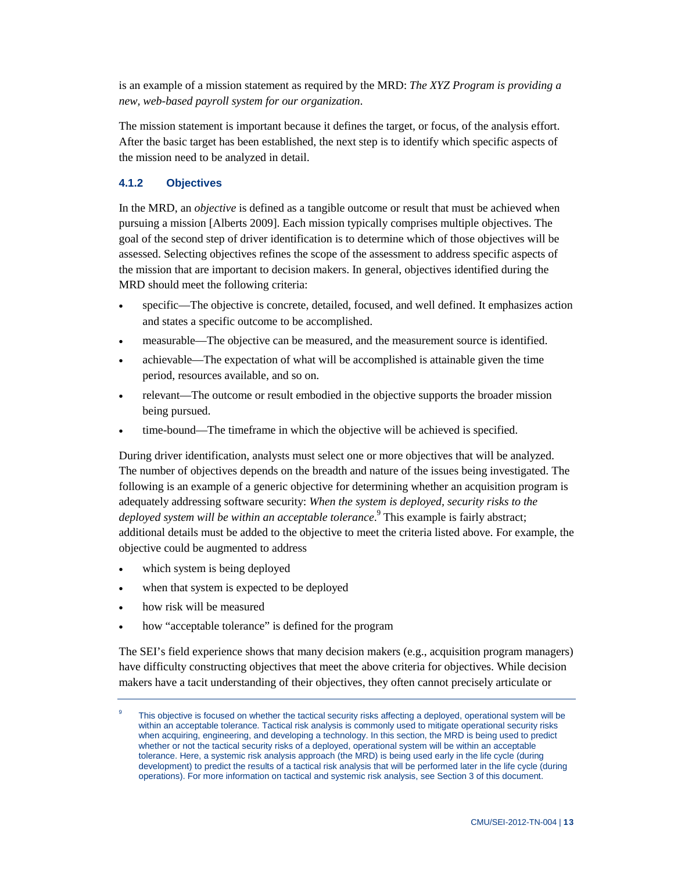is an example of a mission statement as required by the MRD: *The XYZ Program is providing a new, web-based payroll system for our organization*.

The mission statement is important because it defines the target, or focus, of the analysis effort. After the basic target has been established, the next step is to identify which specific aspects of the mission need to be analyzed in detail.

# **4.1.2 Objectives**

In the MRD, an *objective* is defined as a tangible outcome or result that must be achieved when pursuing a mission [Alberts 2009]. Each mission typically comprises multiple objectives. The goal of the second step of driver identification is to determine which of those objectives will be assessed. Selecting objectives refines the scope of the assessment to address specific aspects of the mission that are important to decision makers. In general, objectives identified during the MRD should meet the following criteria:

- specific—The objective is concrete, detailed, focused, and well defined. It emphasizes action and states a specific outcome to be accomplished.
- measurable—The objective can be measured, and the measurement source is identified.
- achievable—The expectation of what will be accomplished is attainable given the time period, resources available, and so on.
- relevant—The outcome or result embodied in the objective supports the broader mission being pursued.
- time-bound—The timeframe in which the objective will be achieved is specified.

During driver identification, analysts must select one or more objectives that will be analyzed. The number of objectives depends on the breadth and nature of the issues being investigated. The following is an example of a generic objective for determining whether an acquisition program is adequately addressing software security: *When the system is deployed, security risks to the deployed system will be within an acceptable tolerance*. 9 This example is fairly abstract; additional details must be added to the objective to meet the criteria listed above. For example, the objective could be augmented to address

- which system is being deployed
- when that system is expected to be deployed
- how risk will be measured
- how "acceptable tolerance" is defined for the program

The SEI's field experience shows that many decision makers (e.g., acquisition program managers) have difficulty constructing objectives that meet the above criteria for objectives. While decision makers have a tacit understanding of their objectives, they often cannot precisely articulate or

<sup>9</sup> This objective is focused on whether the tactical security risks affecting a deployed, operational system will be within an acceptable tolerance. Tactical risk analysis is commonly used to mitigate operational security risks when acquiring, engineering, and developing a technology. In this section, the MRD is being used to predict whether or not the tactical security risks of a deployed, operational system will be within an acceptable tolerance. Here, a systemic risk analysis approach (the MRD) is being used early in the life cycle (during development) to predict the results of a tactical risk analysis that will be performed later in the life cycle (during operations). For more information on tactical and systemic risk analysis, see Section 3 of this document.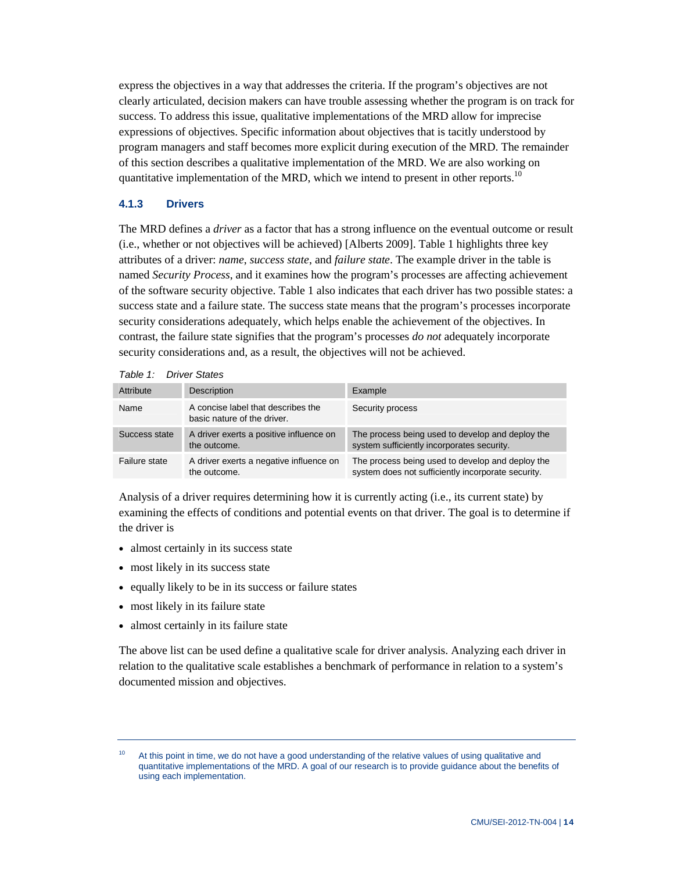express the objectives in a way that addresses the criteria. If the program's objectives are not clearly articulated, decision makers can have trouble assessing whether the program is on track for success. To address this issue, qualitative implementations of the MRD allow for imprecise expressions of objectives. Specific information about objectives that is tacitly understood by program managers and staff becomes more explicit during execution of the MRD. The remainder of this section describes a qualitative implementation of the MRD. We are also working on quantitative implementation of the MRD, which we intend to present in other reports.<sup>10</sup>

# **4.1.3 Drivers**

The MRD defines a *driver* as a factor that has a strong influence on the eventual outcome or result (i.e., whether or not objectives will be achieved) [Alberts 2009]. Table 1 highlights three key attributes of a driver: *name*, *success state*, and *failure state*. The example driver in the table is named *Security Process*, and it examines how the program's processes are affecting achievement of the software security objective. Table 1 also indicates that each driver has two possible states: a success state and a failure state. The success state means that the program's processes incorporate security considerations adequately, which helps enable the achievement of the objectives. In contrast, the failure state signifies that the program's processes *do not* adequately incorporate security considerations and, as a result, the objectives will not be achieved.

#### *Table 1: Driver States*

| Attribute     | Description                                                       | Example                                                                                                |
|---------------|-------------------------------------------------------------------|--------------------------------------------------------------------------------------------------------|
| Name          | A concise label that describes the<br>basic nature of the driver. | Security process                                                                                       |
| Success state | A driver exerts a positive influence on<br>the outcome.           | The process being used to develop and deploy the<br>system sufficiently incorporates security.         |
| Failure state | A driver exerts a negative influence on<br>the outcome.           | The process being used to develop and deploy the<br>system does not sufficiently incorporate security. |

Analysis of a driver requires determining how it is currently acting (i.e., its current state) by examining the effects of conditions and potential events on that driver. The goal is to determine if the driver is

- almost certainly in its success state
- most likely in its success state
- equally likely to be in its success or failure states
- most likely in its failure state
- almost certainly in its failure state

The above list can be used define a qualitative scale for driver analysis. Analyzing each driver in relation to the qualitative scale establishes a benchmark of performance in relation to a system's documented mission and objectives.

At this point in time, we do not have a good understanding of the relative values of using qualitative and quantitative implementations of the MRD. A goal of our research is to provide guidance about the benefits of using each implementation.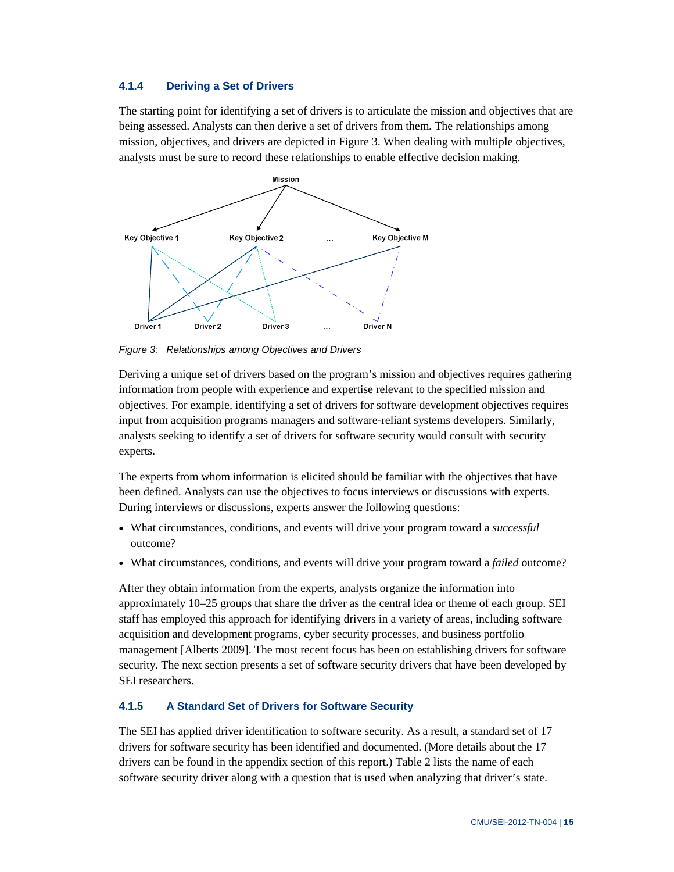### **4.1.4 Deriving a Set of Drivers**

The starting point for identifying a set of drivers is to articulate the mission and objectives that are being assessed. Analysts can then derive a set of drivers from them. The relationships among mission, objectives, and drivers are depicted in Figure 3. When dealing with multiple objectives, analysts must be sure to record these relationships to enable effective decision making.



*Figure 3: Relationships among Objectives and Drivers* 

Deriving a unique set of drivers based on the program's mission and objectives requires gathering information from people with experience and expertise relevant to the specified mission and objectives. For example, identifying a set of drivers for software development objectives requires input from acquisition programs managers and software-reliant systems developers. Similarly, analysts seeking to identify a set of drivers for software security would consult with security experts.

The experts from whom information is elicited should be familiar with the objectives that have been defined. Analysts can use the objectives to focus interviews or discussions with experts. During interviews or discussions, experts answer the following questions:

- What circumstances, conditions, and events will drive your program toward a *successful* outcome?
- What circumstances, conditions, and events will drive your program toward a *failed* outcome?

After they obtain information from the experts, analysts organize the information into approximately 10–25 groups that share the driver as the central idea or theme of each group. SEI staff has employed this approach for identifying drivers in a variety of areas, including software acquisition and development programs, cyber security processes, and business portfolio management [Alberts 2009]. The most recent focus has been on establishing drivers for software security. The next section presents a set of software security drivers that have been developed by SEI researchers.

# **4.1.5 A Standard Set of Drivers for Software Security**

The SEI has applied driver identification to software security. As a result, a standard set of 17 drivers for software security has been identified and documented. (More details about the 17 drivers can be found in the appendix section of this report.) Table 2 lists the name of each software security driver along with a question that is used when analyzing that driver's state.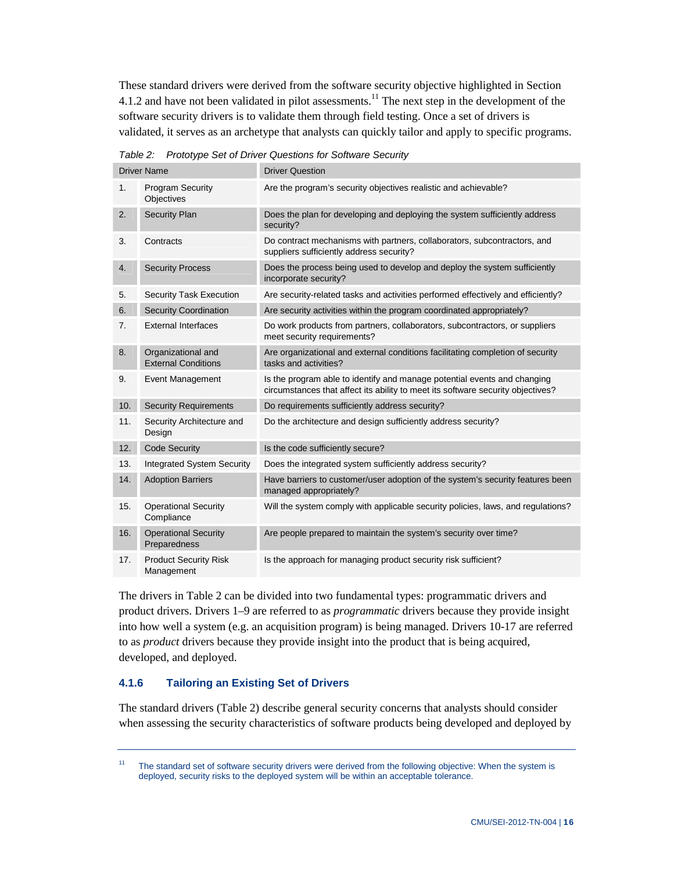These standard drivers were derived from the software security objective highlighted in Section 4.1.2 and have not been validated in pilot assessments.<sup>11</sup> The next step in the development of the software security drivers is to validate them through field testing. Once a set of drivers is validated, it serves as an archetype that analysts can quickly tailor and apply to specific programs.

|     | <b>Driver Name</b>                               | <b>Driver Question</b>                                                                                                                                      |
|-----|--------------------------------------------------|-------------------------------------------------------------------------------------------------------------------------------------------------------------|
| 1.  | <b>Program Security</b><br><b>Objectives</b>     | Are the program's security objectives realistic and achievable?                                                                                             |
| 2.  | <b>Security Plan</b>                             | Does the plan for developing and deploying the system sufficiently address<br>security?                                                                     |
| 3.  | Contracts                                        | Do contract mechanisms with partners, collaborators, subcontractors, and<br>suppliers sufficiently address security?                                        |
| 4.  | <b>Security Process</b>                          | Does the process being used to develop and deploy the system sufficiently<br>incorporate security?                                                          |
| 5.  | Security Task Execution                          | Are security-related tasks and activities performed effectively and efficiently?                                                                            |
| 6.  | <b>Security Coordination</b>                     | Are security activities within the program coordinated appropriately?                                                                                       |
| 7.  | <b>External Interfaces</b>                       | Do work products from partners, collaborators, subcontractors, or suppliers<br>meet security requirements?                                                  |
| 8.  | Organizational and<br><b>External Conditions</b> | Are organizational and external conditions facilitating completion of security<br>tasks and activities?                                                     |
| 9.  | <b>Event Management</b>                          | Is the program able to identify and manage potential events and changing<br>circumstances that affect its ability to meet its software security objectives? |
| 10. | <b>Security Requirements</b>                     | Do requirements sufficiently address security?                                                                                                              |
| 11. | Security Architecture and<br>Design              | Do the architecture and design sufficiently address security?                                                                                               |
| 12. | <b>Code Security</b>                             | Is the code sufficiently secure?                                                                                                                            |
| 13. | <b>Integrated System Security</b>                | Does the integrated system sufficiently address security?                                                                                                   |
| 14. | <b>Adoption Barriers</b>                         | Have barriers to customer/user adoption of the system's security features been<br>managed appropriately?                                                    |
| 15. | <b>Operational Security</b><br>Compliance        | Will the system comply with applicable security policies, laws, and regulations?                                                                            |
| 16. | <b>Operational Security</b><br>Preparedness      | Are people prepared to maintain the system's security over time?                                                                                            |
| 17. | <b>Product Security Risk</b><br>Management       | Is the approach for managing product security risk sufficient?                                                                                              |

*Table 2: Prototype Set of Driver Questions for Software Security* 

The drivers in Table 2 can be divided into two fundamental types: programmatic drivers and product drivers. Drivers 1–9 are referred to as *programmatic* drivers because they provide insight into how well a system (e.g. an acquisition program) is being managed. Drivers 10-17 are referred to as *product* drivers because they provide insight into the product that is being acquired, developed, and deployed.

# **4.1.6 Tailoring an Existing Set of Drivers**

The standard drivers (Table 2) describe general security concerns that analysts should consider when assessing the security characteristics of software products being developed and deployed by

<sup>&</sup>lt;sup>11</sup> The standard set of software security drivers were derived from the following objective: When the system is deployed, security risks to the deployed system will be within an acceptable tolerance.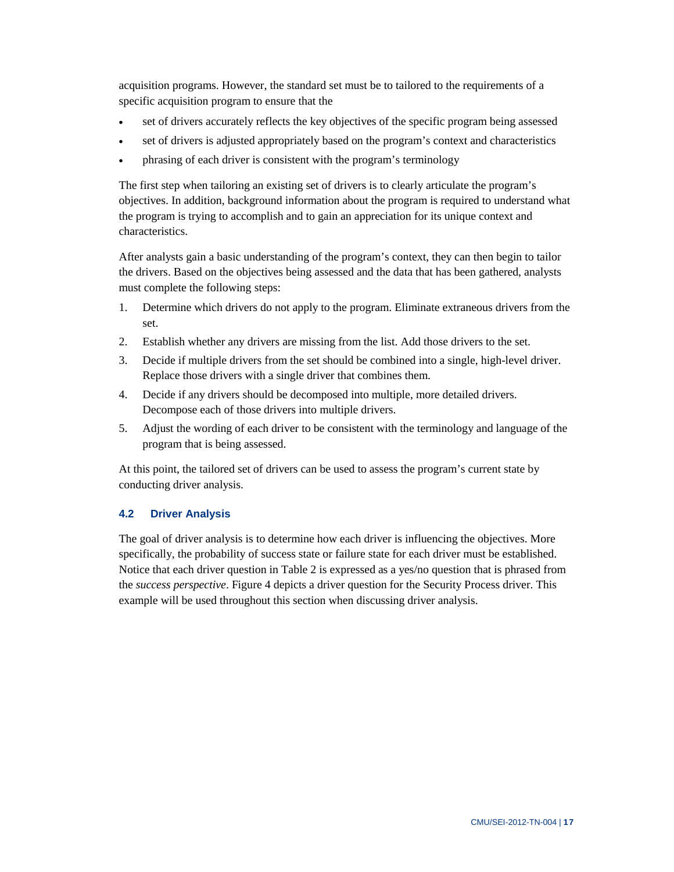acquisition programs. However, the standard set must be to tailored to the requirements of a specific acquisition program to ensure that the

- set of drivers accurately reflects the key objectives of the specific program being assessed
- set of drivers is adjusted appropriately based on the program's context and characteristics
- phrasing of each driver is consistent with the program's terminology

The first step when tailoring an existing set of drivers is to clearly articulate the program's objectives. In addition, background information about the program is required to understand what the program is trying to accomplish and to gain an appreciation for its unique context and characteristics.

After analysts gain a basic understanding of the program's context, they can then begin to tailor the drivers. Based on the objectives being assessed and the data that has been gathered, analysts must complete the following steps:

- 1. Determine which drivers do not apply to the program. Eliminate extraneous drivers from the set.
- 2. Establish whether any drivers are missing from the list. Add those drivers to the set.
- 3. Decide if multiple drivers from the set should be combined into a single, high-level driver. Replace those drivers with a single driver that combines them.
- 4. Decide if any drivers should be decomposed into multiple, more detailed drivers. Decompose each of those drivers into multiple drivers.
- 5. Adjust the wording of each driver to be consistent with the terminology and language of the program that is being assessed.

At this point, the tailored set of drivers can be used to assess the program's current state by conducting driver analysis.

# **4.2 Driver Analysis**

The goal of driver analysis is to determine how each driver is influencing the objectives. More specifically, the probability of success state or failure state for each driver must be established. Notice that each driver question in Table 2 is expressed as a yes/no question that is phrased from the *success perspective*. Figure 4 depicts a driver question for the Security Process driver. This example will be used throughout this section when discussing driver analysis.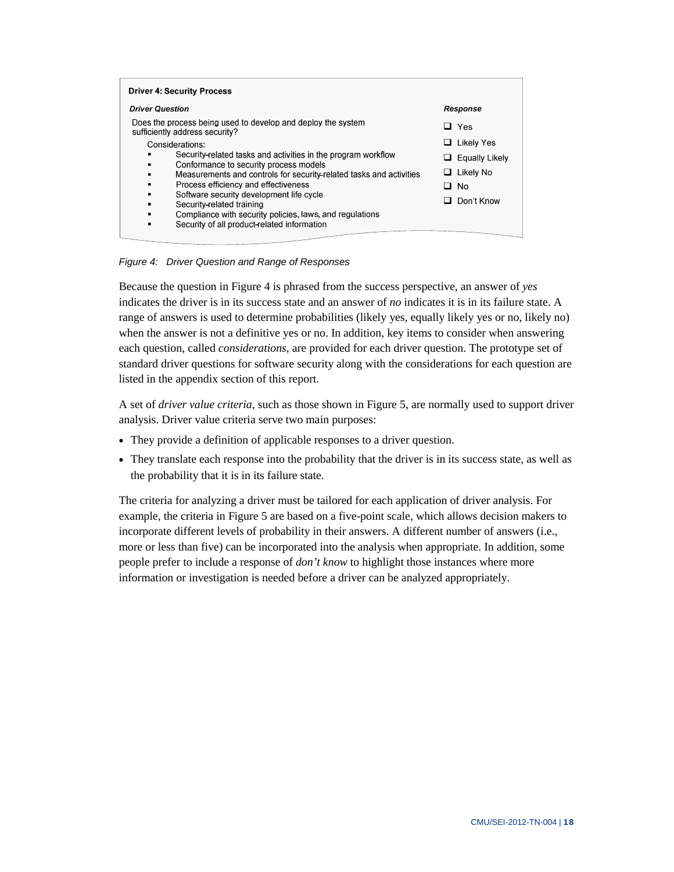| <b>Driver Question</b>                                                                                                                                                                     | Response                    |
|--------------------------------------------------------------------------------------------------------------------------------------------------------------------------------------------|-----------------------------|
| Does the process being used to develop and deploy the system<br>sufficiently address security?                                                                                             | ⊔ Yes                       |
| Considerations:                                                                                                                                                                            | <b>Likely Yes</b>           |
| Security-related tasks and activities in the program workflow<br>Conformance to security process models<br>Measurements and controls for security-related tasks and activities             | Equally Likely<br>Likely No |
| Process efficiency and effectiveness<br>ш                                                                                                                                                  | No.                         |
| Software security development life cycle<br>Security-related training<br>п<br>Compliance with security policies, laws, and regulations<br>п<br>Security of all product-related information | Don't Know                  |

*Figure 4: Driver Question and Range of Responses* 

Because the question in Figure 4 is phrased from the success perspective, an answer of *yes* indicates the driver is in its success state and an answer of *no* indicates it is in its failure state. A range of answers is used to determine probabilities (likely yes, equally likely yes or no, likely no) when the answer is not a definitive yes or no. In addition, key items to consider when answering each question, called *considerations*, are provided for each driver question. The prototype set of standard driver questions for software security along with the considerations for each question are listed in the appendix section of this report.

A set of *driver value criteria*, such as those shown in Figure 5, are normally used to support driver analysis. Driver value criteria serve two main purposes:

- They provide a definition of applicable responses to a driver question.
- They translate each response into the probability that the driver is in its success state, as well as the probability that it is in its failure state.

The criteria for analyzing a driver must be tailored for each application of driver analysis. For example, the criteria in Figure 5 are based on a five-point scale, which allows decision makers to incorporate different levels of probability in their answers. A different number of answers (i.e., more or less than five) can be incorporated into the analysis when appropriate. In addition, some people prefer to include a response of *don't know* to highlight those instances where more information or investigation is needed before a driver can be analyzed appropriately.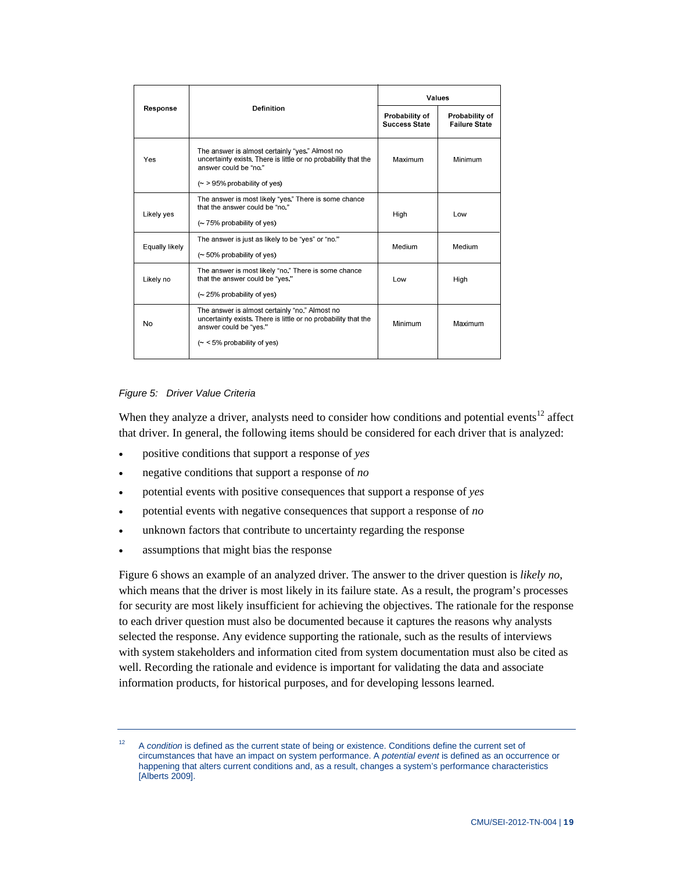|                                                                                                                                                                                   |                                                                                                                                                                                 | Values                                 |                                        |
|-----------------------------------------------------------------------------------------------------------------------------------------------------------------------------------|---------------------------------------------------------------------------------------------------------------------------------------------------------------------------------|----------------------------------------|----------------------------------------|
| Response                                                                                                                                                                          | Definition                                                                                                                                                                      | Probability of<br><b>Success State</b> | Probability of<br><b>Failure State</b> |
| Yes                                                                                                                                                                               | The answer is almost certainly "yes." Almost no<br>uncertainty exists. There is little or no probability that the<br>answer could be "no."<br>$(\sim$ > 95% probability of yes) | Maximum                                | Minimum                                |
| Likely yes                                                                                                                                                                        | The answer is most likely "yes." There is some chance<br>that the answer could be "no."<br>$\sim$ 75% probability of yes)                                                       | High                                   | Low                                    |
| Equally likely                                                                                                                                                                    | The answer is just as likely to be "yes" or "no."<br>$($ ~ 50% probability of yes)                                                                                              | Medium                                 | Medium                                 |
| Likely no                                                                                                                                                                         | The answer is most likely "no." There is some chance<br>that the answer could be "yes."<br>$\sim$ 25% probability of yes)                                                       | Low                                    | High                                   |
| The answer is almost certainly "no." Almost no<br>uncertainty exists. There is little or no probability that the<br>No<br>answer could be "yes."<br>$(<$ < 5% probability of yes) |                                                                                                                                                                                 | Minimum                                | Maximum                                |

#### *Figure 5: Driver Value Criteria*

When they analyze a driver, analysts need to consider how conditions and potential events $12$  affect that driver. In general, the following items should be considered for each driver that is analyzed:

- positive conditions that support a response of *yes*
- negative conditions that support a response of *no*
- potential events with positive consequences that support a response of *yes*
- potential events with negative consequences that support a response of *no*
- unknown factors that contribute to uncertainty regarding the response
- assumptions that might bias the response

Figure 6 shows an example of an analyzed driver. The answer to the driver question is *likely no*, which means that the driver is most likely in its failure state. As a result, the program's processes for security are most likely insufficient for achieving the objectives. The rationale for the response to each driver question must also be documented because it captures the reasons why analysts selected the response. Any evidence supporting the rationale, such as the results of interviews with system stakeholders and information cited from system documentation must also be cited as well. Recording the rationale and evidence is important for validating the data and associate information products, for historical purposes, and for developing lessons learned.

<sup>&</sup>lt;sup>12</sup> A *condition* is defined as the current state of being or existence. Conditions define the current set of circumstances that have an impact on system performance. A *potential event* is defined as an occurrence or happening that alters current conditions and, as a result, changes a system's performance characteristics [Alberts 2009].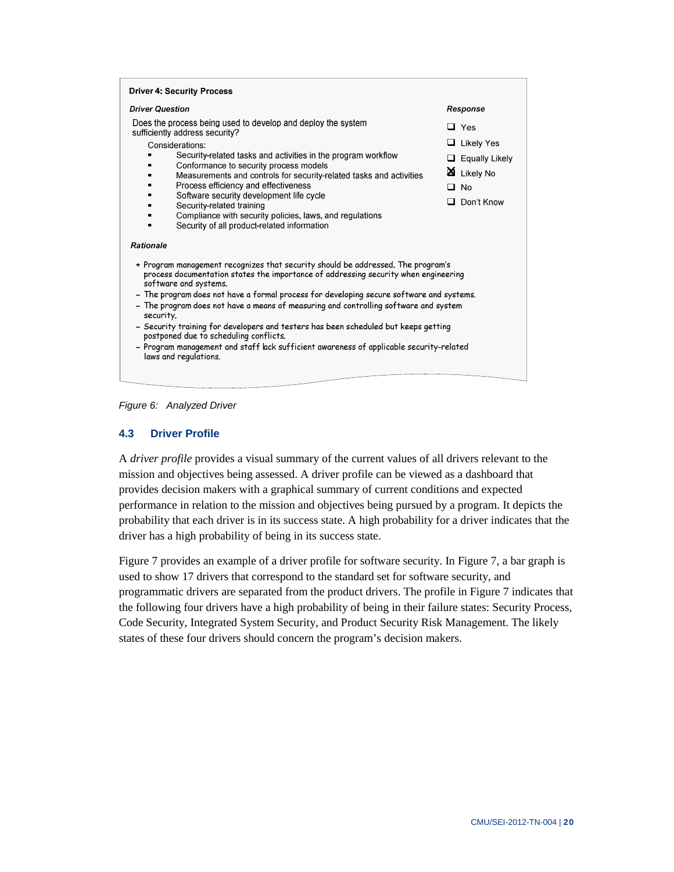

*Figure 6: Analyzed Driver* 

### **4.3 Driver Profile**

A *driver profile* provides a visual summary of the current values of all drivers relevant to the mission and objectives being assessed. A driver profile can be viewed as a dashboard that provides decision makers with a graphical summary of current conditions and expected performance in relation to the mission and objectives being pursued by a program. It depicts the probability that each driver is in its success state. A high probability for a driver indicates that the driver has a high probability of being in its success state.

Figure 7 provides an example of a driver profile for software security. In Figure 7, a bar graph is used to show 17 drivers that correspond to the standard set for software security, and programmatic drivers are separated from the product drivers. The profile in Figure 7 indicates that the following four drivers have a high probability of being in their failure states: Security Process, Code Security, Integrated System Security, and Product Security Risk Management. The likely states of these four drivers should concern the program's decision makers.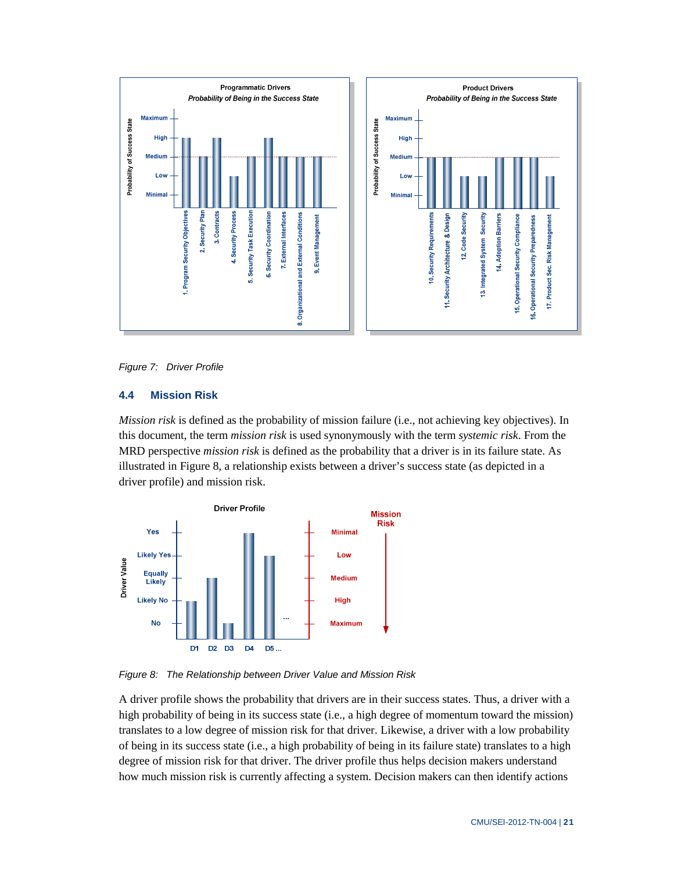

*Figure 7: Driver Profile* 

### **4.4 Mission Risk**

*Mission risk* is defined as the probability of mission failure (i.e., not achieving key objectives). In this document, the term *mission risk* is used synonymously with the term *systemic risk*. From the MRD perspective *mission risk* is defined as the probability that a driver is in its failure state. As illustrated in Figure 8, a relationship exists between a driver's success state (as depicted in a driver profile) and mission risk.



*Figure 8: The Relationship between Driver Value and Mission Risk* 

A driver profile shows the probability that drivers are in their success states. Thus, a driver with a high probability of being in its success state (i.e., a high degree of momentum toward the mission) translates to a low degree of mission risk for that driver. Likewise, a driver with a low probability of being in its success state (i.e., a high probability of being in its failure state) translates to a high degree of mission risk for that driver. The driver profile thus helps decision makers understand how much mission risk is currently affecting a system. Decision makers can then identify actions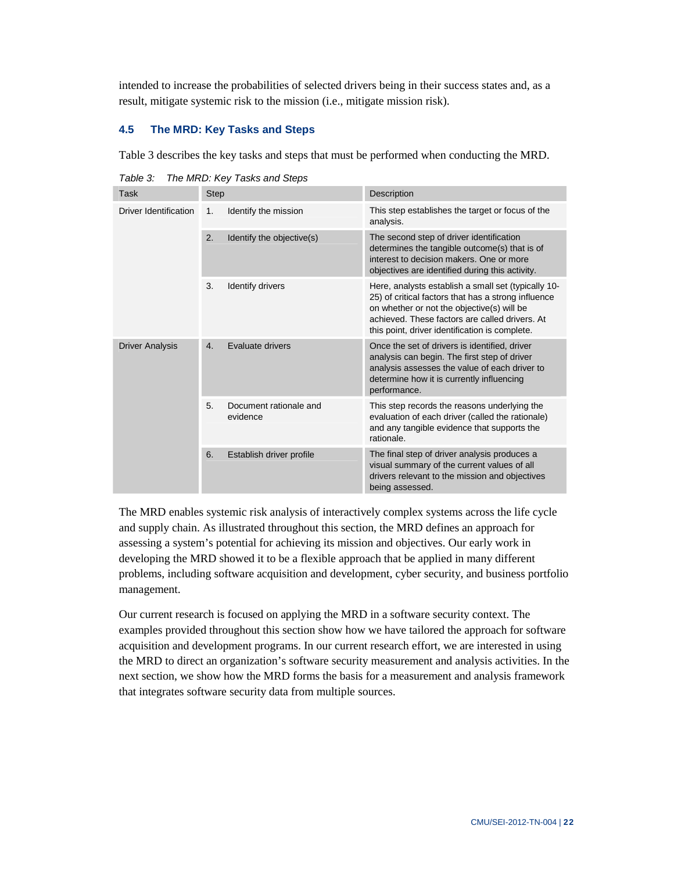intended to increase the probabilities of selected drivers being in their success states and, as a result, mitigate systemic risk to the mission (i.e., mitigate mission risk).

# **4.5 The MRD: Key Tasks and Steps**

Table 3 describes the key tasks and steps that must be performed when conducting the MRD.

| Task                         | <b>Step</b>      |                                    | Description                                                                                                                                                                                                                                                  |  |
|------------------------------|------------------|------------------------------------|--------------------------------------------------------------------------------------------------------------------------------------------------------------------------------------------------------------------------------------------------------------|--|
| <b>Driver Identification</b> | 1.               | Identify the mission               | This step establishes the target or focus of the<br>analysis.                                                                                                                                                                                                |  |
|                              | 2.               | Identify the objective(s)          | The second step of driver identification<br>determines the tangible outcome(s) that is of<br>interest to decision makers. One or more<br>objectives are identified during this activity.                                                                     |  |
|                              | 3.               | Identify drivers                   | Here, analysts establish a small set (typically 10-<br>25) of critical factors that has a strong influence<br>on whether or not the objective(s) will be<br>achieved. These factors are called drivers. At<br>this point, driver identification is complete. |  |
| <b>Driver Analysis</b>       | $\overline{4}$ . | Evaluate drivers                   | Once the set of drivers is identified, driver<br>analysis can begin. The first step of driver<br>analysis assesses the value of each driver to<br>determine how it is currently influencing<br>performance.                                                  |  |
|                              | 5.               | Document rationale and<br>evidence | This step records the reasons underlying the<br>evaluation of each driver (called the rationale)<br>and any tangible evidence that supports the<br>rationale.                                                                                                |  |
|                              | 6.               | Establish driver profile           | The final step of driver analysis produces a<br>visual summary of the current values of all<br>drivers relevant to the mission and objectives<br>being assessed.                                                                                             |  |

*Table 3: The MRD: Key Tasks and Steps* 

The MRD enables systemic risk analysis of interactively complex systems across the life cycle and supply chain. As illustrated throughout this section, the MRD defines an approach for assessing a system's potential for achieving its mission and objectives. Our early work in developing the MRD showed it to be a flexible approach that be applied in many different problems, including software acquisition and development, cyber security, and business portfolio management.

Our current research is focused on applying the MRD in a software security context. The examples provided throughout this section show how we have tailored the approach for software acquisition and development programs. In our current research effort, we are interested in using the MRD to direct an organization's software security measurement and analysis activities. In the next section, we show how the MRD forms the basis for a measurement and analysis framework that integrates software security data from multiple sources.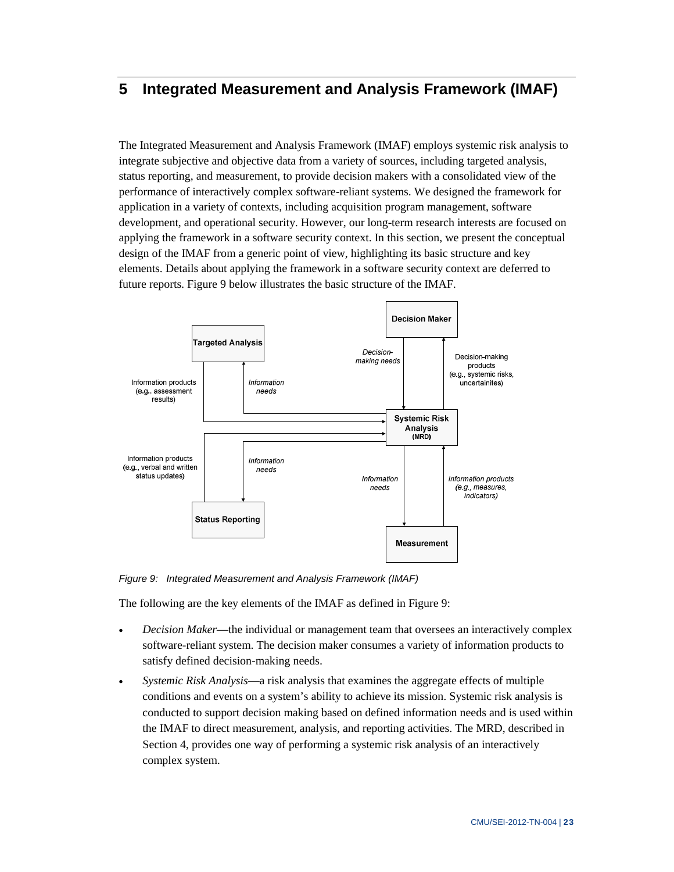# **5 Integrated Measurement and Analysis Framework (IMAF)**

The Integrated Measurement and Analysis Framework (IMAF) employs systemic risk analysis to integrate subjective and objective data from a variety of sources, including targeted analysis, status reporting, and measurement, to provide decision makers with a consolidated view of the performance of interactively complex software-reliant systems. We designed the framework for application in a variety of contexts, including acquisition program management, software development, and operational security. However, our long-term research interests are focused on applying the framework in a software security context. In this section, we present the conceptual design of the IMAF from a generic point of view, highlighting its basic structure and key elements. Details about applying the framework in a software security context are deferred to future reports. Figure 9 below illustrates the basic structure of the IMAF.



*Figure 9: Integrated Measurement and Analysis Framework (IMAF)* 

The following are the key elements of the IMAF as defined in Figure 9:

- *Decision Maker*—the individual or management team that oversees an interactively complex software-reliant system. The decision maker consumes a variety of information products to satisfy defined decision-making needs.
- *Systemic Risk Analysis*—a risk analysis that examines the aggregate effects of multiple conditions and events on a system's ability to achieve its mission. Systemic risk analysis is conducted to support decision making based on defined information needs and is used within the IMAF to direct measurement, analysis, and reporting activities. The MRD, described in Section 4, provides one way of performing a systemic risk analysis of an interactively complex system.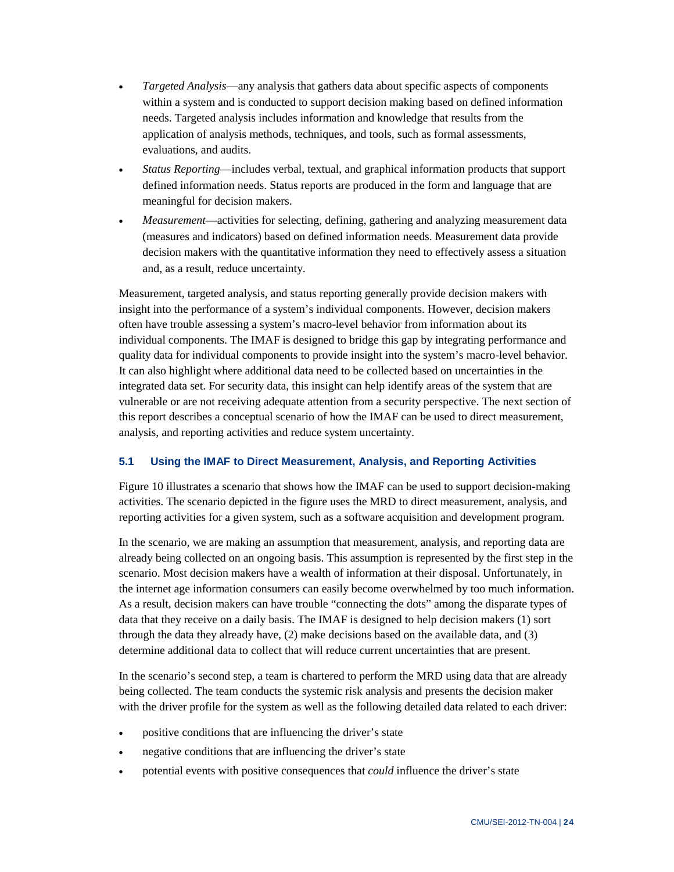- *Targeted Analysis*—any analysis that gathers data about specific aspects of components within a system and is conducted to support decision making based on defined information needs. Targeted analysis includes information and knowledge that results from the application of analysis methods, techniques, and tools, such as formal assessments, evaluations, and audits.
- *Status Reporting*—includes verbal, textual, and graphical information products that support defined information needs. Status reports are produced in the form and language that are meaningful for decision makers.
- *Measurement*—activities for selecting, defining, gathering and analyzing measurement data (measures and indicators) based on defined information needs. Measurement data provide decision makers with the quantitative information they need to effectively assess a situation and, as a result, reduce uncertainty.

Measurement, targeted analysis, and status reporting generally provide decision makers with insight into the performance of a system's individual components. However, decision makers often have trouble assessing a system's macro-level behavior from information about its individual components. The IMAF is designed to bridge this gap by integrating performance and quality data for individual components to provide insight into the system's macro-level behavior. It can also highlight where additional data need to be collected based on uncertainties in the integrated data set. For security data, this insight can help identify areas of the system that are vulnerable or are not receiving adequate attention from a security perspective. The next section of this report describes a conceptual scenario of how the IMAF can be used to direct measurement, analysis, and reporting activities and reduce system uncertainty.

# **5.1 Using the IMAF to Direct Measurement, Analysis, and Reporting Activities**

Figure 10 illustrates a scenario that shows how the IMAF can be used to support decision-making activities. The scenario depicted in the figure uses the MRD to direct measurement, analysis, and reporting activities for a given system, such as a software acquisition and development program.

In the scenario, we are making an assumption that measurement, analysis, and reporting data are already being collected on an ongoing basis. This assumption is represented by the first step in the scenario. Most decision makers have a wealth of information at their disposal. Unfortunately, in the internet age information consumers can easily become overwhelmed by too much information. As a result, decision makers can have trouble "connecting the dots" among the disparate types of data that they receive on a daily basis. The IMAF is designed to help decision makers (1) sort through the data they already have, (2) make decisions based on the available data, and (3) determine additional data to collect that will reduce current uncertainties that are present.

In the scenario's second step, a team is chartered to perform the MRD using data that are already being collected. The team conducts the systemic risk analysis and presents the decision maker with the driver profile for the system as well as the following detailed data related to each driver:

- positive conditions that are influencing the driver's state
- negative conditions that are influencing the driver's state
- potential events with positive consequences that *could* influence the driver's state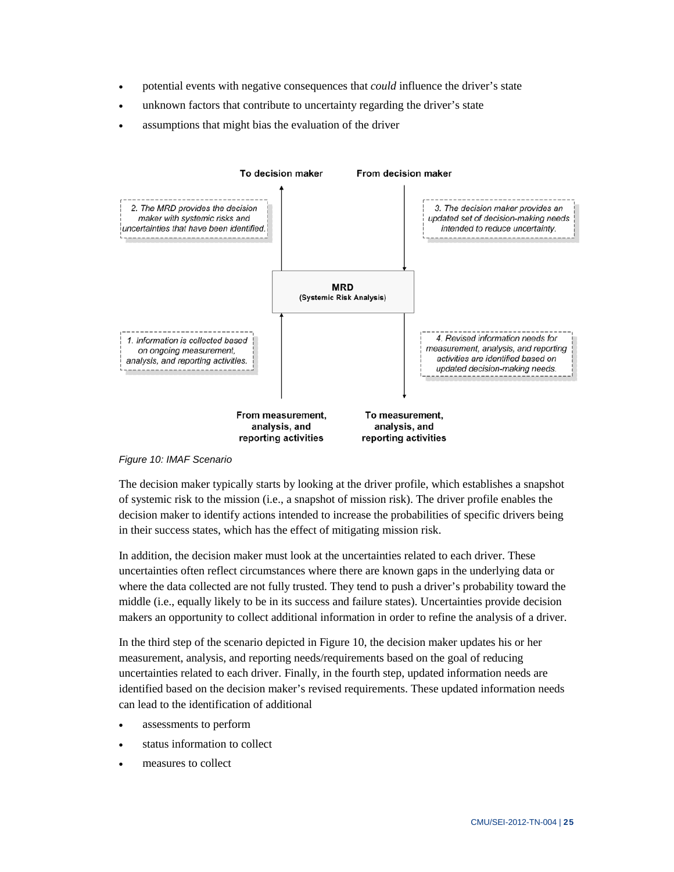- potential events with negative consequences that *could* influence the driver's state
- unknown factors that contribute to uncertainty regarding the driver's state
- assumptions that might bias the evaluation of the driver



#### *Figure 10: IMAF Scenario*

The decision maker typically starts by looking at the driver profile, which establishes a snapshot of systemic risk to the mission (i.e., a snapshot of mission risk). The driver profile enables the decision maker to identify actions intended to increase the probabilities of specific drivers being in their success states, which has the effect of mitigating mission risk.

In addition, the decision maker must look at the uncertainties related to each driver. These uncertainties often reflect circumstances where there are known gaps in the underlying data or where the data collected are not fully trusted. They tend to push a driver's probability toward the middle (i.e., equally likely to be in its success and failure states). Uncertainties provide decision makers an opportunity to collect additional information in order to refine the analysis of a driver.

In the third step of the scenario depicted in Figure 10, the decision maker updates his or her measurement, analysis, and reporting needs/requirements based on the goal of reducing uncertainties related to each driver. Finally, in the fourth step, updated information needs are identified based on the decision maker's revised requirements. These updated information needs can lead to the identification of additional

- assessments to perform
- status information to collect
- measures to collect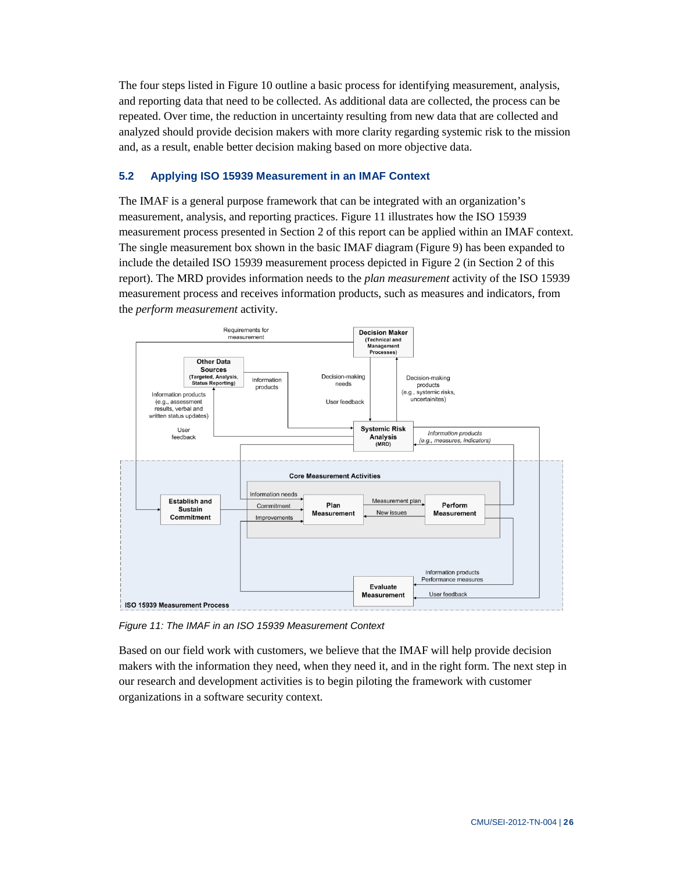The four steps listed in Figure 10 outline a basic process for identifying measurement, analysis, and reporting data that need to be collected. As additional data are collected, the process can be repeated. Over time, the reduction in uncertainty resulting from new data that are collected and analyzed should provide decision makers with more clarity regarding systemic risk to the mission and, as a result, enable better decision making based on more objective data.

# **5.2 Applying ISO 15939 Measurement in an IMAF Context**

The IMAF is a general purpose framework that can be integrated with an organization's measurement, analysis, and reporting practices. Figure 11 illustrates how the ISO 15939 measurement process presented in Section 2 of this report can be applied within an IMAF context. The single measurement box shown in the basic IMAF diagram (Figure 9) has been expanded to include the detailed ISO 15939 measurement process depicted in Figure 2 (in Section 2 of this report). The MRD provides information needs to the *plan measurement* activity of the ISO 15939 measurement process and receives information products, such as measures and indicators, from the *perform measurement* activity.



*Figure 11: The IMAF in an ISO 15939 Measurement Context* 

Based on our field work with customers, we believe that the IMAF will help provide decision makers with the information they need, when they need it, and in the right form. The next step in our research and development activities is to begin piloting the framework with customer organizations in a software security context.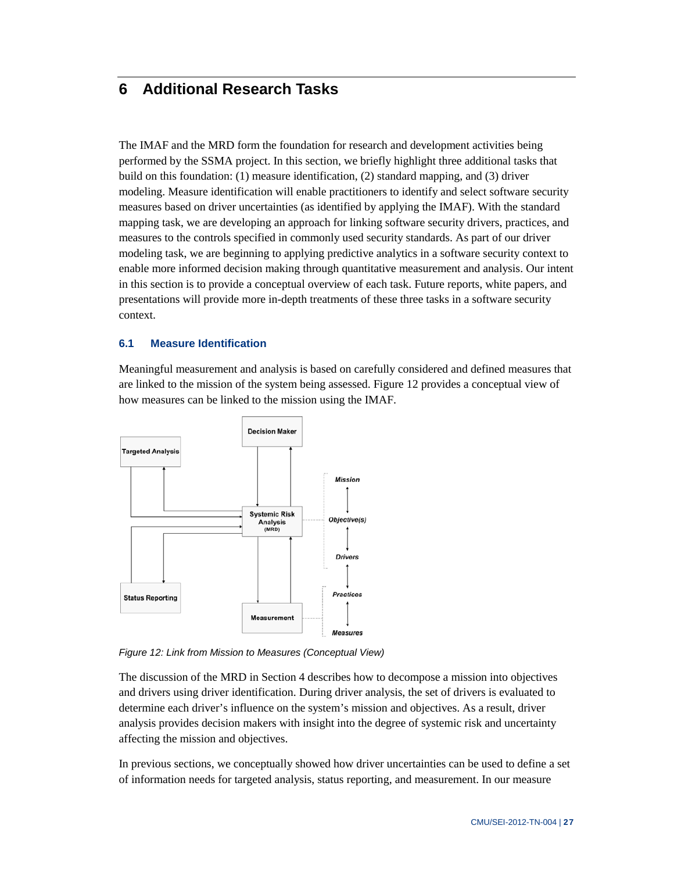# **6 Additional Research Tasks**

The IMAF and the MRD form the foundation for research and development activities being performed by the SSMA project. In this section, we briefly highlight three additional tasks that build on this foundation: (1) measure identification, (2) standard mapping, and (3) driver modeling. Measure identification will enable practitioners to identify and select software security measures based on driver uncertainties (as identified by applying the IMAF). With the standard mapping task, we are developing an approach for linking software security drivers, practices, and measures to the controls specified in commonly used security standards. As part of our driver modeling task, we are beginning to applying predictive analytics in a software security context to enable more informed decision making through quantitative measurement and analysis. Our intent in this section is to provide a conceptual overview of each task. Future reports, white papers, and presentations will provide more in-depth treatments of these three tasks in a software security context.

#### **6.1 Measure Identification**

Meaningful measurement and analysis is based on carefully considered and defined measures that are linked to the mission of the system being assessed. Figure 12 provides a conceptual view of how measures can be linked to the mission using the IMAF.



*Figure 12: Link from Mission to Measures (Conceptual View)* 

The discussion of the MRD in Section 4 describes how to decompose a mission into objectives and drivers using driver identification. During driver analysis, the set of drivers is evaluated to determine each driver's influence on the system's mission and objectives. As a result, driver analysis provides decision makers with insight into the degree of systemic risk and uncertainty affecting the mission and objectives.

In previous sections, we conceptually showed how driver uncertainties can be used to define a set of information needs for targeted analysis, status reporting, and measurement. In our measure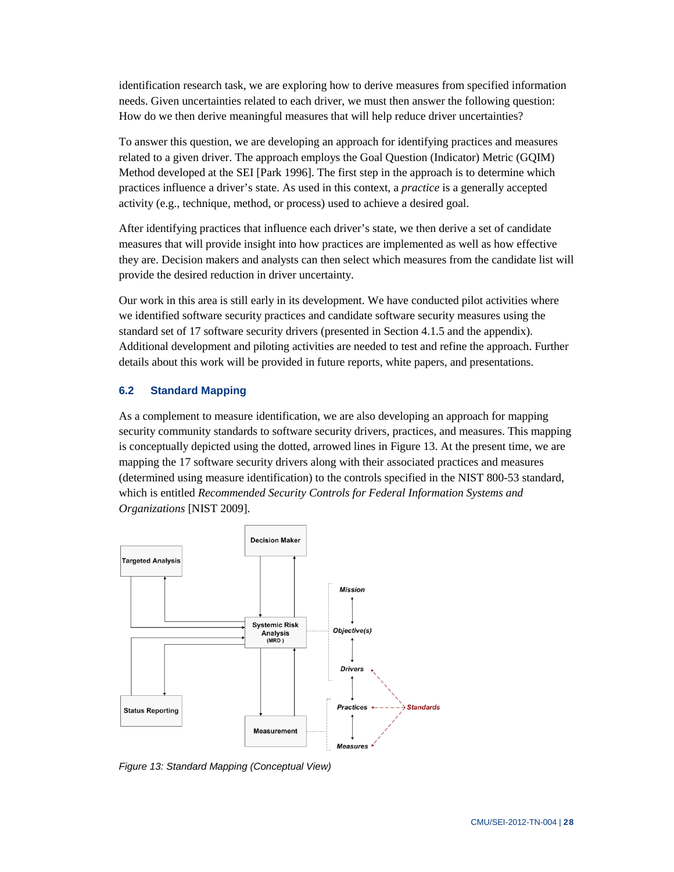identification research task, we are exploring how to derive measures from specified information needs. Given uncertainties related to each driver, we must then answer the following question: How do we then derive meaningful measures that will help reduce driver uncertainties?

To answer this question, we are developing an approach for identifying practices and measures related to a given driver. The approach employs the Goal Question (Indicator) Metric (GQIM) Method developed at the SEI [Park 1996]. The first step in the approach is to determine which practices influence a driver's state. As used in this context, a *practice* is a generally accepted activity (e.g., technique, method, or process) used to achieve a desired goal.

After identifying practices that influence each driver's state, we then derive a set of candidate measures that will provide insight into how practices are implemented as well as how effective they are. Decision makers and analysts can then select which measures from the candidate list will provide the desired reduction in driver uncertainty.

Our work in this area is still early in its development. We have conducted pilot activities where we identified software security practices and candidate software security measures using the standard set of 17 software security drivers (presented in Section 4.1.5 and the appendix). Additional development and piloting activities are needed to test and refine the approach. Further details about this work will be provided in future reports, white papers, and presentations.

# **6.2 Standard Mapping**

As a complement to measure identification, we are also developing an approach for mapping security community standards to software security drivers, practices, and measures. This mapping is conceptually depicted using the dotted, arrowed lines in Figure 13. At the present time, we are mapping the 17 software security drivers along with their associated practices and measures (determined using measure identification) to the controls specified in the NIST 800-53 standard, which is entitled *Recommended Security Controls for Federal Information Systems and Organizations* [NIST 2009].



*Figure 13: Standard Mapping (Conceptual View)*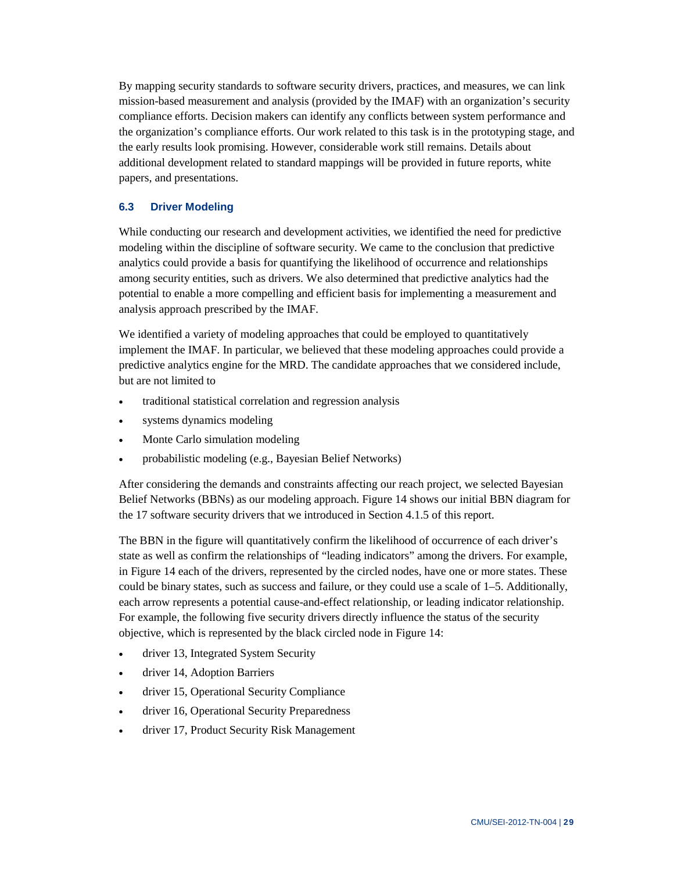By mapping security standards to software security drivers, practices, and measures, we can link mission-based measurement and analysis (provided by the IMAF) with an organization's security compliance efforts. Decision makers can identify any conflicts between system performance and the organization's compliance efforts. Our work related to this task is in the prototyping stage, and the early results look promising. However, considerable work still remains. Details about additional development related to standard mappings will be provided in future reports, white papers, and presentations.

# **6.3 Driver Modeling**

While conducting our research and development activities, we identified the need for predictive modeling within the discipline of software security. We came to the conclusion that predictive analytics could provide a basis for quantifying the likelihood of occurrence and relationships among security entities, such as drivers. We also determined that predictive analytics had the potential to enable a more compelling and efficient basis for implementing a measurement and analysis approach prescribed by the IMAF.

We identified a variety of modeling approaches that could be employed to quantitatively implement the IMAF. In particular, we believed that these modeling approaches could provide a predictive analytics engine for the MRD. The candidate approaches that we considered include, but are not limited to

- traditional statistical correlation and regression analysis
- systems dynamics modeling
- Monte Carlo simulation modeling
- probabilistic modeling (e.g., Bayesian Belief Networks)

After considering the demands and constraints affecting our reach project, we selected Bayesian Belief Networks (BBNs) as our modeling approach. Figure 14 shows our initial BBN diagram for the 17 software security drivers that we introduced in Section 4.1.5 of this report.

The BBN in the figure will quantitatively confirm the likelihood of occurrence of each driver's state as well as confirm the relationships of "leading indicators" among the drivers. For example, in Figure 14 each of the drivers, represented by the circled nodes, have one or more states. These could be binary states, such as success and failure, or they could use a scale of 1–5. Additionally, each arrow represents a potential cause-and-effect relationship, or leading indicator relationship. For example, the following five security drivers directly influence the status of the security objective, which is represented by the black circled node in Figure 14:

- driver 13, Integrated System Security
- driver 14, Adoption Barriers
- driver 15, Operational Security Compliance
- driver 16, Operational Security Preparedness
- driver 17, Product Security Risk Management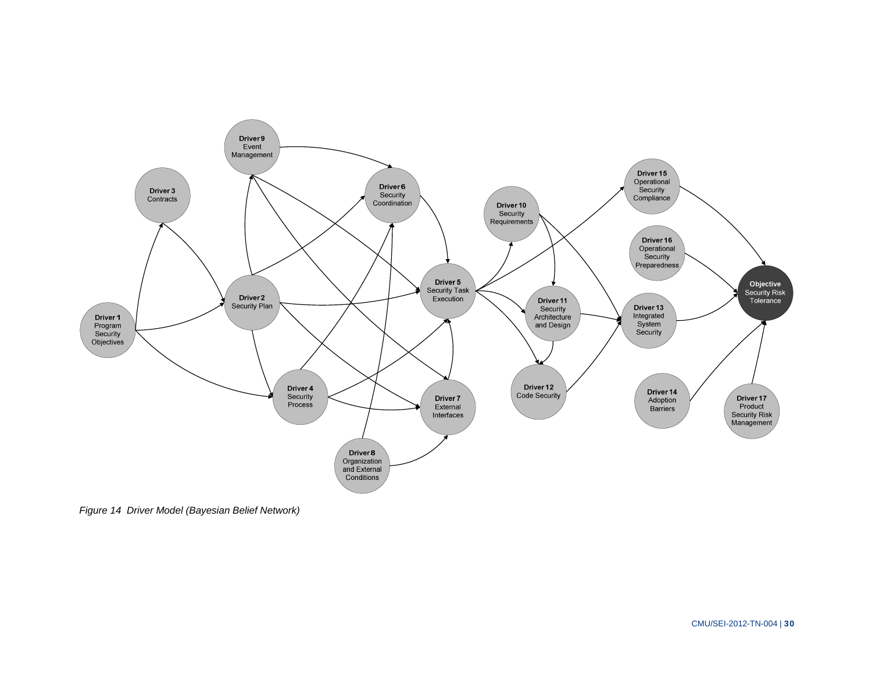

*Figure 14 Driver Model (Bayesian Belief Network)*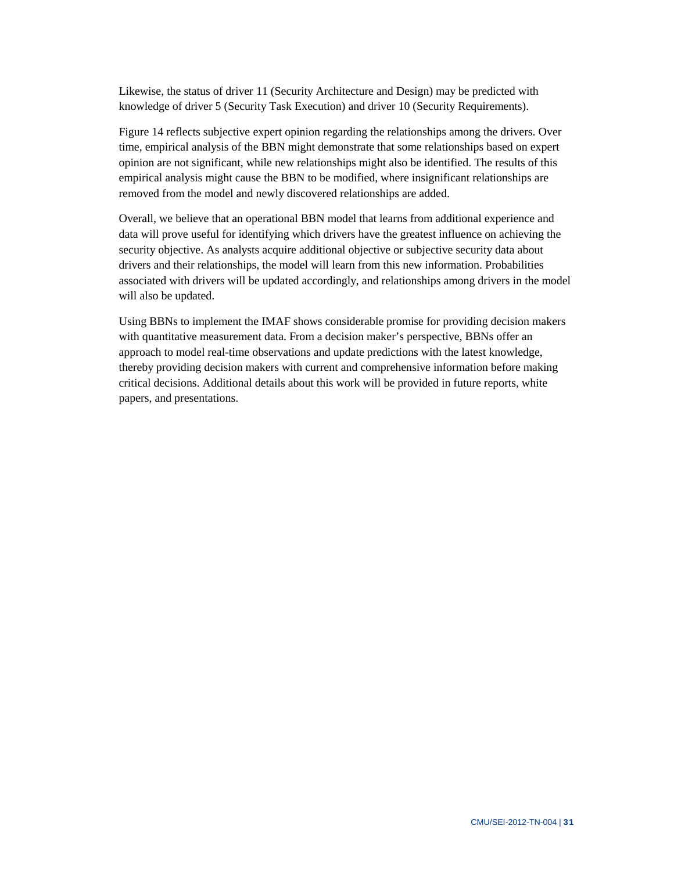Likewise, the status of driver 11 (Security Architecture and Design) may be predicted with knowledge of driver 5 (Security Task Execution) and driver 10 (Security Requirements).

Figure 14 reflects subjective expert opinion regarding the relationships among the drivers. Over time, empirical analysis of the BBN might demonstrate that some relationships based on expert opinion are not significant, while new relationships might also be identified. The results of this empirical analysis might cause the BBN to be modified, where insignificant relationships are removed from the model and newly discovered relationships are added.

Overall, we believe that an operational BBN model that learns from additional experience and data will prove useful for identifying which drivers have the greatest influence on achieving the security objective. As analysts acquire additional objective or subjective security data about drivers and their relationships, the model will learn from this new information. Probabilities associated with drivers will be updated accordingly, and relationships among drivers in the model will also be updated.

Using BBNs to implement the IMAF shows considerable promise for providing decision makers with quantitative measurement data. From a decision maker's perspective, BBNs offer an approach to model real-time observations and update predictions with the latest knowledge, thereby providing decision makers with current and comprehensive information before making critical decisions. Additional details about this work will be provided in future reports, white papers, and presentations.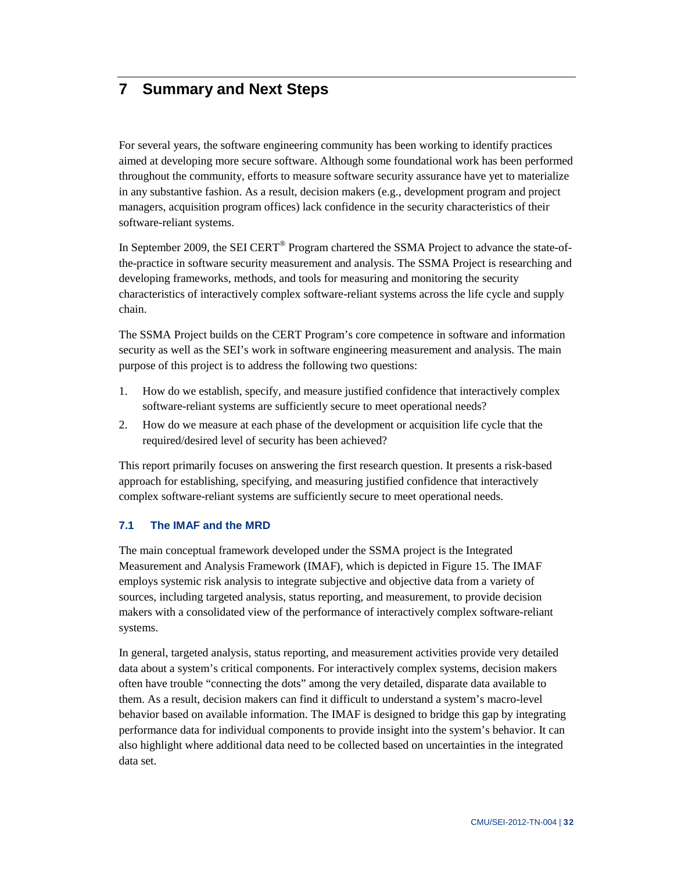# **7 Summary and Next Steps**

For several years, the software engineering community has been working to identify practices aimed at developing more secure software. Although some foundational work has been performed throughout the community, efforts to measure software security assurance have yet to materialize in any substantive fashion. As a result, decision makers (e.g., development program and project managers, acquisition program offices) lack confidence in the security characteristics of their software-reliant systems.

In September 2009, the SEI CERT<sup>®</sup> Program chartered the SSMA Project to advance the state-ofthe-practice in software security measurement and analysis. The SSMA Project is researching and developing frameworks, methods, and tools for measuring and monitoring the security characteristics of interactively complex software-reliant systems across the life cycle and supply chain.

The SSMA Project builds on the CERT Program's core competence in software and information security as well as the SEI's work in software engineering measurement and analysis. The main purpose of this project is to address the following two questions:

- 1. How do we establish, specify, and measure justified confidence that interactively complex software-reliant systems are sufficiently secure to meet operational needs?
- 2. How do we measure at each phase of the development or acquisition life cycle that the required/desired level of security has been achieved?

This report primarily focuses on answering the first research question. It presents a risk-based approach for establishing, specifying, and measuring justified confidence that interactively complex software-reliant systems are sufficiently secure to meet operational needs.

# **7.1 The IMAF and the MRD**

The main conceptual framework developed under the SSMA project is the Integrated Measurement and Analysis Framework (IMAF), which is depicted in Figure 15. The IMAF employs systemic risk analysis to integrate subjective and objective data from a variety of sources, including targeted analysis, status reporting, and measurement, to provide decision makers with a consolidated view of the performance of interactively complex software-reliant systems.

In general, targeted analysis, status reporting, and measurement activities provide very detailed data about a system's critical components. For interactively complex systems, decision makers often have trouble "connecting the dots" among the very detailed, disparate data available to them. As a result, decision makers can find it difficult to understand a system's macro-level behavior based on available information. The IMAF is designed to bridge this gap by integrating performance data for individual components to provide insight into the system's behavior. It can also highlight where additional data need to be collected based on uncertainties in the integrated data set.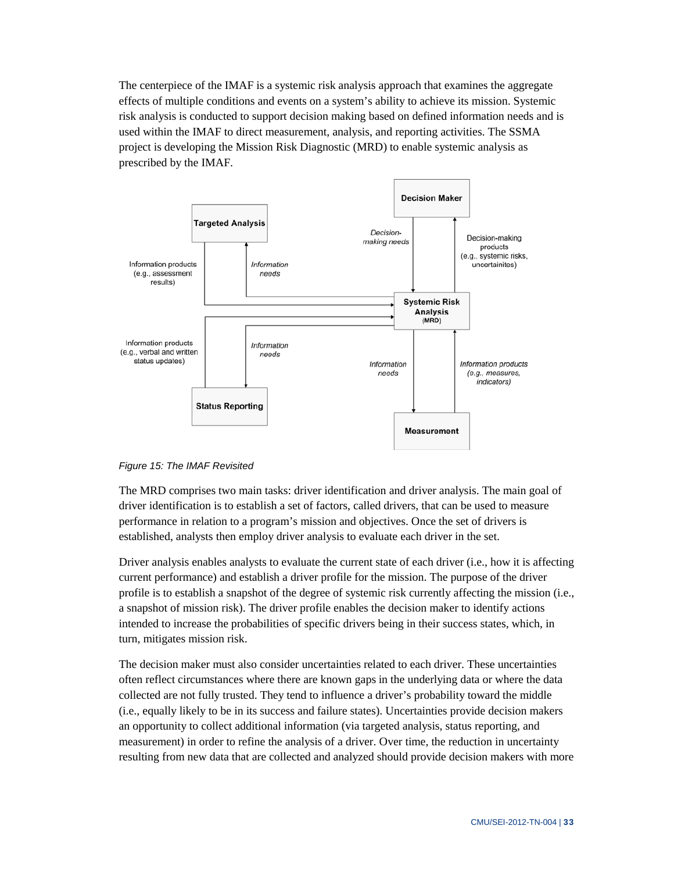The centerpiece of the IMAF is a systemic risk analysis approach that examines the aggregate effects of multiple conditions and events on a system's ability to achieve its mission. Systemic risk analysis is conducted to support decision making based on defined information needs and is used within the IMAF to direct measurement, analysis, and reporting activities. The SSMA project is developing the Mission Risk Diagnostic (MRD) to enable systemic analysis as prescribed by the IMAF.



*Figure 15: The IMAF Revisited* 

The MRD comprises two main tasks: driver identification and driver analysis. The main goal of driver identification is to establish a set of factors, called drivers, that can be used to measure performance in relation to a program's mission and objectives. Once the set of drivers is established, analysts then employ driver analysis to evaluate each driver in the set.

Driver analysis enables analysts to evaluate the current state of each driver (i.e., how it is affecting current performance) and establish a driver profile for the mission. The purpose of the driver profile is to establish a snapshot of the degree of systemic risk currently affecting the mission (i.e., a snapshot of mission risk). The driver profile enables the decision maker to identify actions intended to increase the probabilities of specific drivers being in their success states, which, in turn, mitigates mission risk.

The decision maker must also consider uncertainties related to each driver. These uncertainties often reflect circumstances where there are known gaps in the underlying data or where the data collected are not fully trusted. They tend to influence a driver's probability toward the middle (i.e., equally likely to be in its success and failure states). Uncertainties provide decision makers an opportunity to collect additional information (via targeted analysis, status reporting, and measurement) in order to refine the analysis of a driver. Over time, the reduction in uncertainty resulting from new data that are collected and analyzed should provide decision makers with more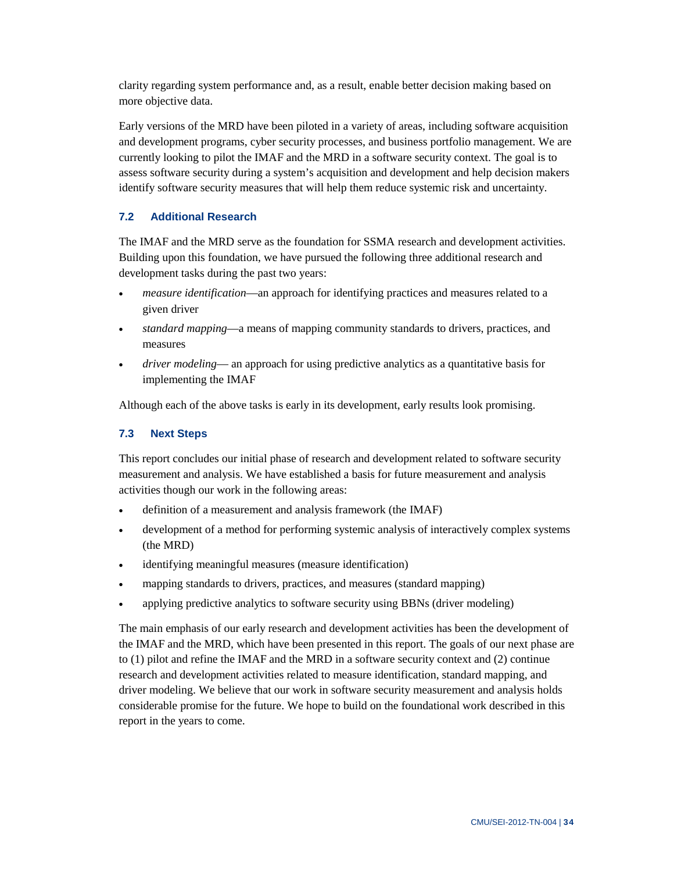clarity regarding system performance and, as a result, enable better decision making based on more objective data.

Early versions of the MRD have been piloted in a variety of areas, including software acquisition and development programs, cyber security processes, and business portfolio management. We are currently looking to pilot the IMAF and the MRD in a software security context. The goal is to assess software security during a system's acquisition and development and help decision makers identify software security measures that will help them reduce systemic risk and uncertainty.

# **7.2 Additional Research**

The IMAF and the MRD serve as the foundation for SSMA research and development activities. Building upon this foundation, we have pursued the following three additional research and development tasks during the past two years:

- *measure identification*—an approach for identifying practices and measures related to a given driver
- *standard mapping*—a means of mapping community standards to drivers, practices, and measures
- *driver modeling* an approach for using predictive analytics as a quantitative basis for implementing the IMAF

Although each of the above tasks is early in its development, early results look promising.

# **7.3 Next Steps**

This report concludes our initial phase of research and development related to software security measurement and analysis. We have established a basis for future measurement and analysis activities though our work in the following areas:

- definition of a measurement and analysis framework (the IMAF)
- development of a method for performing systemic analysis of interactively complex systems (the MRD)
- identifying meaningful measures (measure identification)
- mapping standards to drivers, practices, and measures (standard mapping)
- applying predictive analytics to software security using BBNs (driver modeling)

The main emphasis of our early research and development activities has been the development of the IMAF and the MRD, which have been presented in this report. The goals of our next phase are to (1) pilot and refine the IMAF and the MRD in a software security context and (2) continue research and development activities related to measure identification, standard mapping, and driver modeling. We believe that our work in software security measurement and analysis holds considerable promise for the future. We hope to build on the foundational work described in this report in the years to come.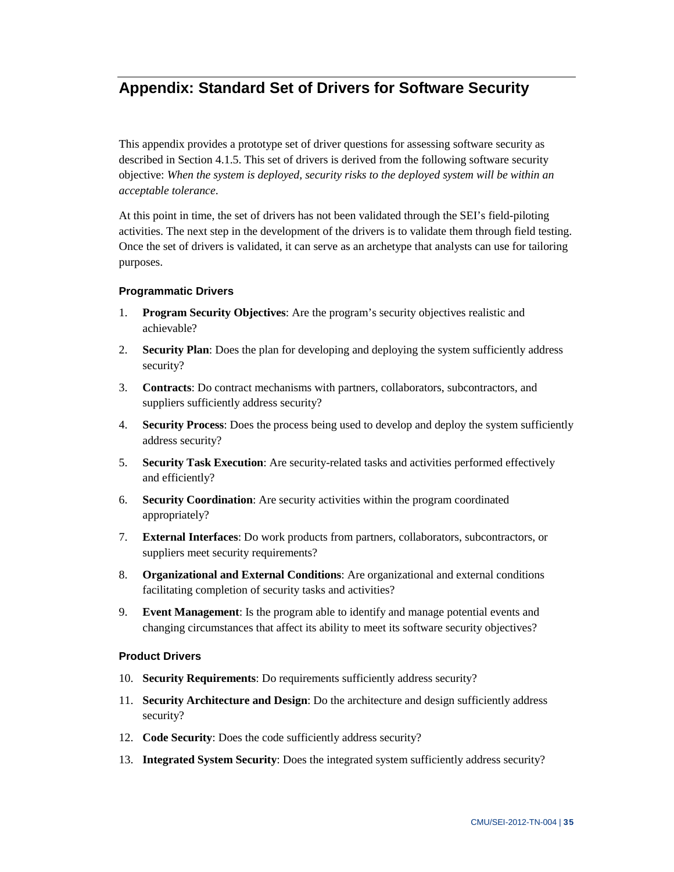# **Appendix: Standard Set of Drivers for Software Security**

This appendix provides a prototype set of driver questions for assessing software security as described in Section 4.1.5. This set of drivers is derived from the following software security objective: *When the system is deployed, security risks to the deployed system will be within an acceptable tolerance*.

At this point in time, the set of drivers has not been validated through the SEI's field-piloting activities. The next step in the development of the drivers is to validate them through field testing. Once the set of drivers is validated, it can serve as an archetype that analysts can use for tailoring purposes.

### **Programmatic Drivers**

- 1. **Program Security Objectives**: Are the program's security objectives realistic and achievable?
- 2. **Security Plan**: Does the plan for developing and deploying the system sufficiently address security?
- 3. **Contracts**: Do contract mechanisms with partners, collaborators, subcontractors, and suppliers sufficiently address security?
- 4. **Security Process**: Does the process being used to develop and deploy the system sufficiently address security?
- 5. **Security Task Execution**: Are security-related tasks and activities performed effectively and efficiently?
- 6. **Security Coordination**: Are security activities within the program coordinated appropriately?
- 7. **External Interfaces**: Do work products from partners, collaborators, subcontractors, or suppliers meet security requirements?
- 8. **Organizational and External Conditions**: Are organizational and external conditions facilitating completion of security tasks and activities?
- 9. **Event Management**: Is the program able to identify and manage potential events and changing circumstances that affect its ability to meet its software security objectives?

#### **Product Drivers**

- 10. **Security Requirements**: Do requirements sufficiently address security?
- 11. **Security Architecture and Design**: Do the architecture and design sufficiently address security?
- 12. **Code Security**: Does the code sufficiently address security?
- 13. **Integrated System Security**: Does the integrated system sufficiently address security?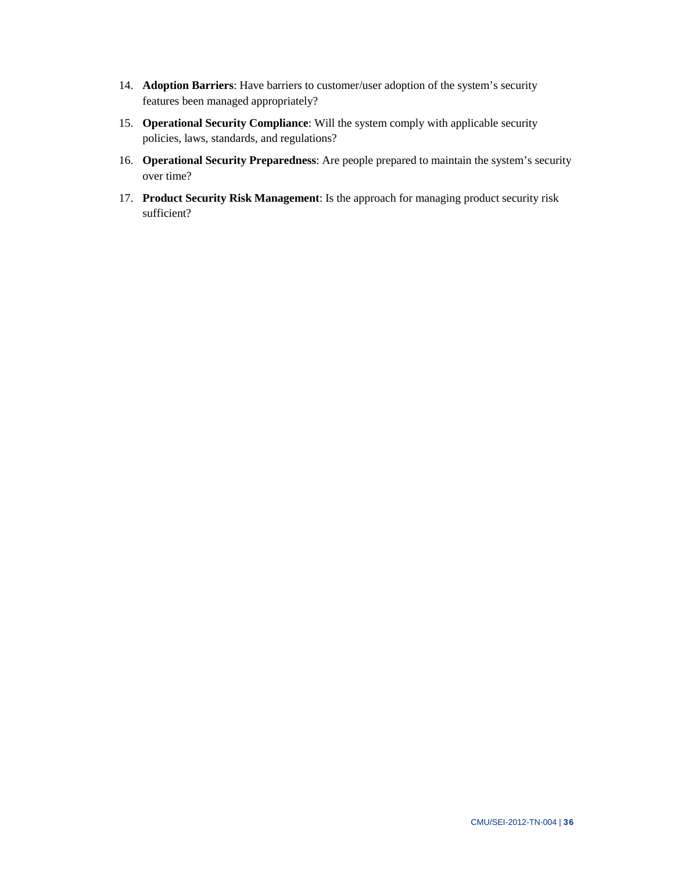- 14. **Adoption Barriers**: Have barriers to customer/user adoption of the system's security features been managed appropriately?
- 15. **Operational Security Compliance**: Will the system comply with applicable security policies, laws, standards, and regulations?
- 16. **Operational Security Preparedness**: Are people prepared to maintain the system's security over time?
- 17. **Product Security Risk Management**: Is the approach for managing product security risk sufficient?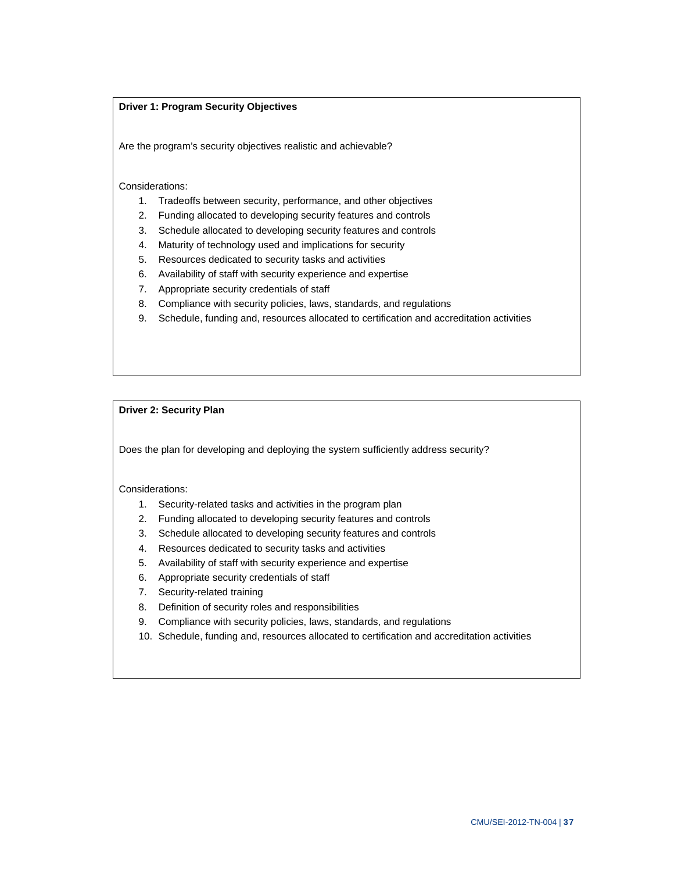#### **Driver 1: Program Security Objectives**

Are the program's security objectives realistic and achievable?

Considerations:

- 1. Tradeoffs between security, performance, and other objectives
- 2. Funding allocated to developing security features and controls
- 3. Schedule allocated to developing security features and controls
- 4. Maturity of technology used and implications for security
- 5. Resources dedicated to security tasks and activities
- 6. Availability of staff with security experience and expertise
- 7. Appropriate security credentials of staff
- 8. Compliance with security policies, laws, standards, and regulations
- 9. Schedule, funding and, resources allocated to certification and accreditation activities

#### **Driver 2: Security Plan**

Does the plan for developing and deploying the system sufficiently address security?

- 1. Security-related tasks and activities in the program plan
- 2. Funding allocated to developing security features and controls
- 3. Schedule allocated to developing security features and controls
- 4. Resources dedicated to security tasks and activities
- 5. Availability of staff with security experience and expertise
- 6. Appropriate security credentials of staff
- 7. Security-related training
- 8. Definition of security roles and responsibilities
- 9. Compliance with security policies, laws, standards, and regulations
- 10. Schedule, funding and, resources allocated to certification and accreditation activities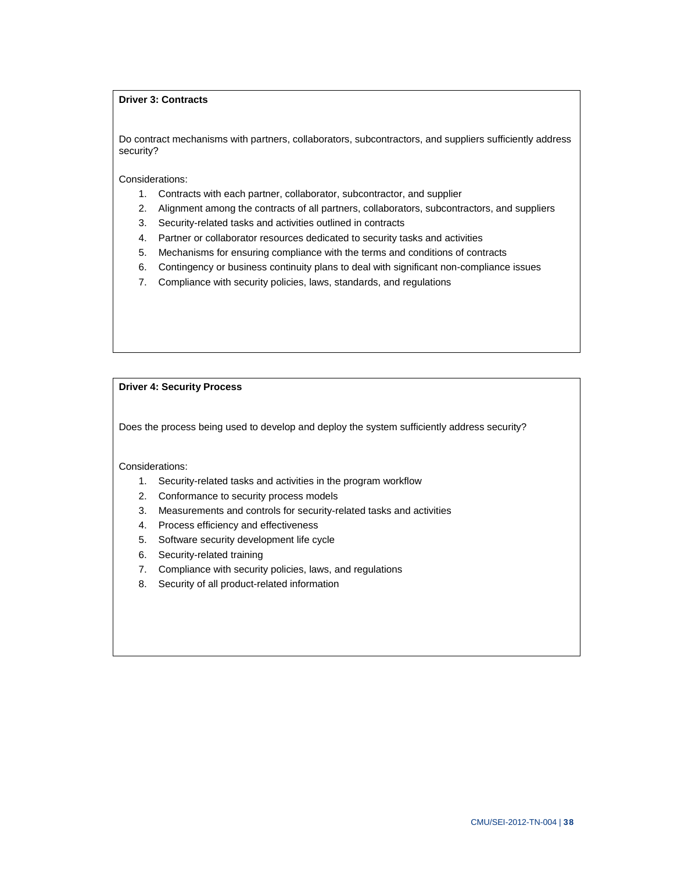#### **Driver 3: Contracts**

Do contract mechanisms with partners, collaborators, subcontractors, and suppliers sufficiently address security?

Considerations:

- 1. Contracts with each partner, collaborator, subcontractor, and supplier
- 2. Alignment among the contracts of all partners, collaborators, subcontractors, and suppliers
- 3. Security-related tasks and activities outlined in contracts
- 4. Partner or collaborator resources dedicated to security tasks and activities
- 5. Mechanisms for ensuring compliance with the terms and conditions of contracts
- 6. Contingency or business continuity plans to deal with significant non-compliance issues
- 7. Compliance with security policies, laws, standards, and regulations

#### **Driver 4: Security Process**

Does the process being used to develop and deploy the system sufficiently address security?

- 1. Security-related tasks and activities in the program workflow
- 2. Conformance to security process models
- 3. Measurements and controls for security-related tasks and activities
- 4. Process efficiency and effectiveness
- 5. Software security development life cycle
- 6. Security-related training
- 7. Compliance with security policies, laws, and regulations
- 8. Security of all product-related information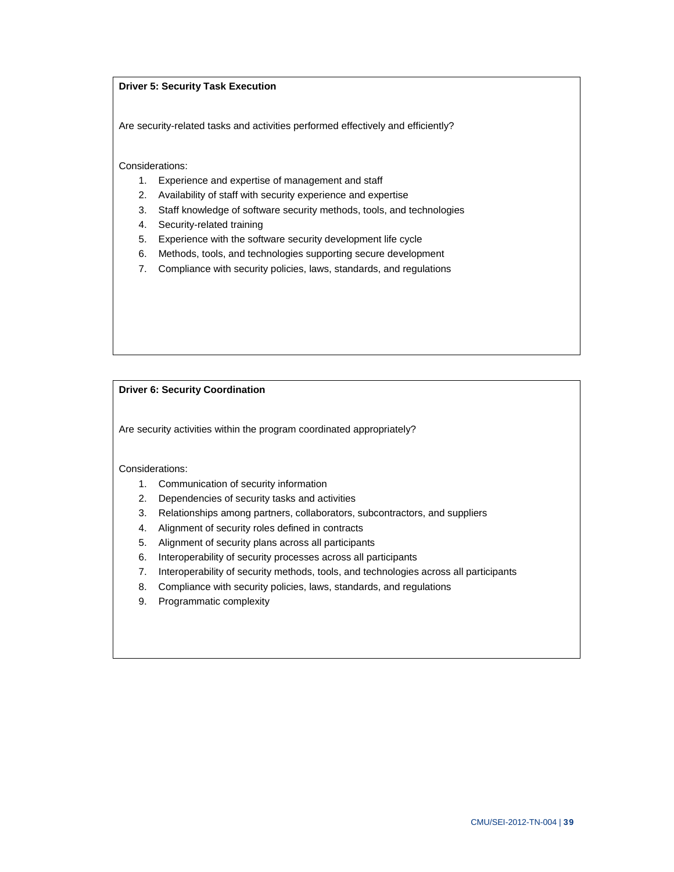#### **Driver 5: Security Task Execution**

Are security-related tasks and activities performed effectively and efficiently?

Considerations:

- 1. Experience and expertise of management and staff
- 2. Availability of staff with security experience and expertise
- 3. Staff knowledge of software security methods, tools, and technologies
- 4. Security-related training
- 5. Experience with the software security development life cycle
- 6. Methods, tools, and technologies supporting secure development
- 7. Compliance with security policies, laws, standards, and regulations

#### **Driver 6: Security Coordination**

Are security activities within the program coordinated appropriately?

- 1. Communication of security information
- 2. Dependencies of security tasks and activities
- 3. Relationships among partners, collaborators, subcontractors, and suppliers
- 4. Alignment of security roles defined in contracts
- 5. Alignment of security plans across all participants
- 6. Interoperability of security processes across all participants
- 7. Interoperability of security methods, tools, and technologies across all participants
- 8. Compliance with security policies, laws, standards, and regulations
- 9. Programmatic complexity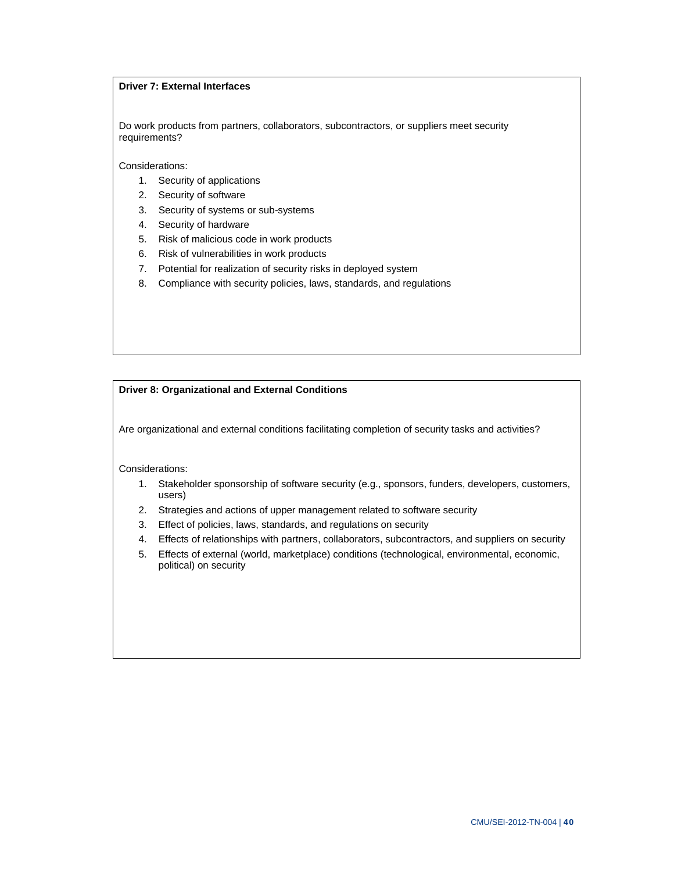### **Driver 7: External Interfaces**

Do work products from partners, collaborators, subcontractors, or suppliers meet security requirements?

Considerations:

- 1. Security of applications
- 2. Security of software
- 3. Security of systems or sub-systems
- 4. Security of hardware
- 5. Risk of malicious code in work products
- 6. Risk of vulnerabilities in work products
- 7. Potential for realization of security risks in deployed system
- 8. Compliance with security policies, laws, standards, and regulations

#### **Driver 8: Organizational and External Conditions**

Are organizational and external conditions facilitating completion of security tasks and activities?

- 1. Stakeholder sponsorship of software security (e.g., sponsors, funders, developers, customers, users)
- 2. Strategies and actions of upper management related to software security
- 3. Effect of policies, laws, standards, and regulations on security
- 4. Effects of relationships with partners, collaborators, subcontractors, and suppliers on security
- 5. Effects of external (world, marketplace) conditions (technological, environmental, economic, political) on security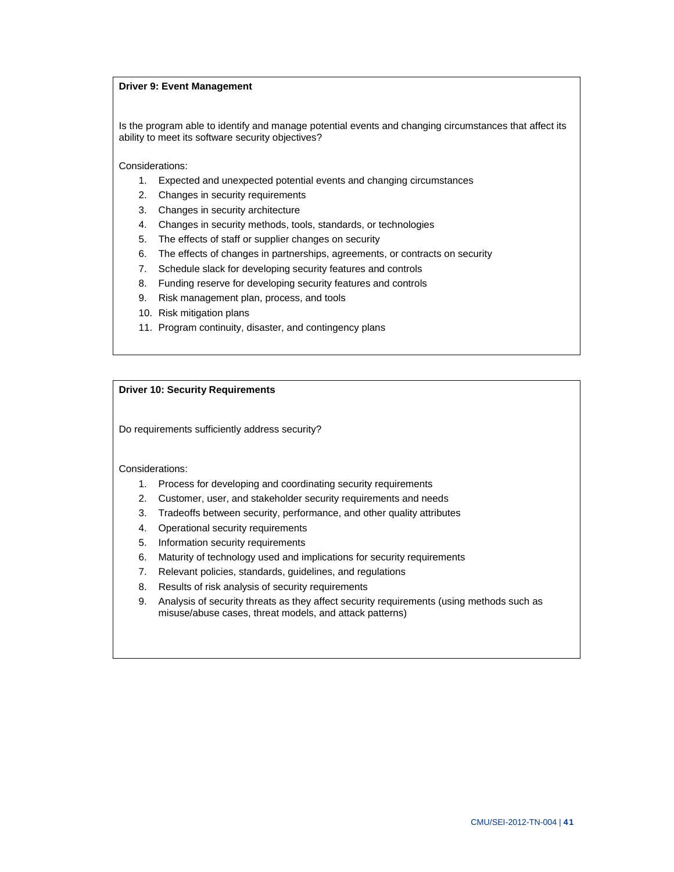#### **Driver 9: Event Management**

Is the program able to identify and manage potential events and changing circumstances that affect its ability to meet its software security objectives?

Considerations:

- 1. Expected and unexpected potential events and changing circumstances
- 2. Changes in security requirements
- 3. Changes in security architecture
- 4. Changes in security methods, tools, standards, or technologies
- 5. The effects of staff or supplier changes on security
- 6. The effects of changes in partnerships, agreements, or contracts on security
- 7. Schedule slack for developing security features and controls
- 8. Funding reserve for developing security features and controls
- 9. Risk management plan, process, and tools
- 10. Risk mitigation plans
- 11. Program continuity, disaster, and contingency plans

#### **Driver 10: Security Requirements**

Do requirements sufficiently address security?

- 1. Process for developing and coordinating security requirements
- 2. Customer, user, and stakeholder security requirements and needs
- 3. Tradeoffs between security, performance, and other quality attributes
- 4. Operational security requirements
- 5. Information security requirements
- 6. Maturity of technology used and implications for security requirements
- 7. Relevant policies, standards, guidelines, and regulations
- 8. Results of risk analysis of security requirements
- 9. Analysis of security threats as they affect security requirements (using methods such as misuse/abuse cases, threat models, and attack patterns)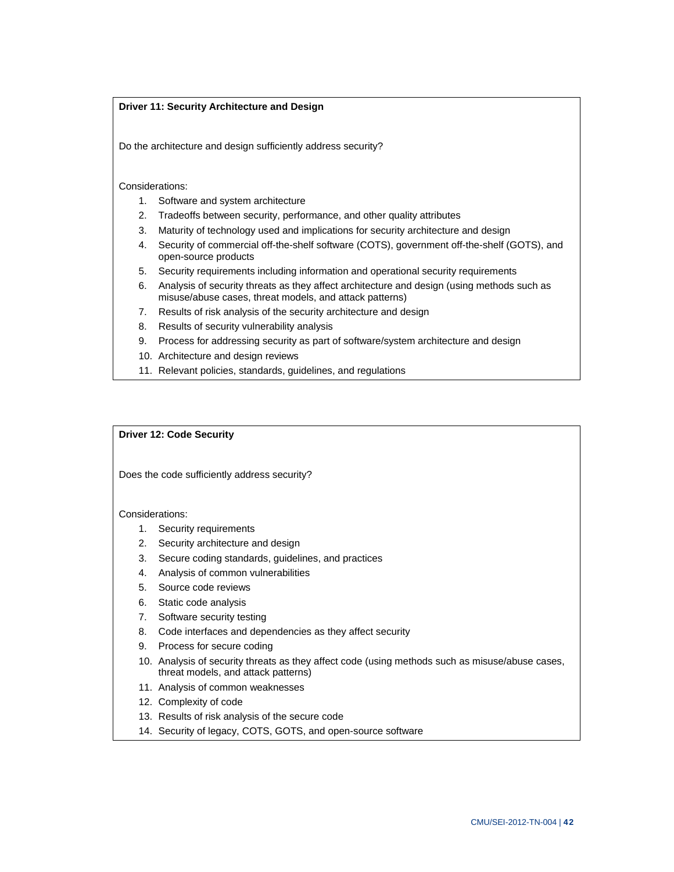#### **Driver 11: Security Architecture and Design**

Do the architecture and design sufficiently address security?

Considerations:

- 1. Software and system architecture
- 2. Tradeoffs between security, performance, and other quality attributes
- 3. Maturity of technology used and implications for security architecture and design
- 4. Security of commercial off-the-shelf software (COTS), government off-the-shelf (GOTS), and open-source products
- 5. Security requirements including information and operational security requirements
- 6. Analysis of security threats as they affect architecture and design (using methods such as misuse/abuse cases, threat models, and attack patterns)
- 7. Results of risk analysis of the security architecture and design
- 8. Results of security vulnerability analysis
- 9. Process for addressing security as part of software/system architecture and design
- 10. Architecture and design reviews
- 11. Relevant policies, standards, guidelines, and regulations

### **Driver 12: Code Security**

Does the code sufficiently address security?

- 1. Security requirements
- 2. Security architecture and design
- 3. Secure coding standards, guidelines, and practices
- 4. Analysis of common vulnerabilities
- 5. Source code reviews
- 6. Static code analysis
- 7. Software security testing
- 8. Code interfaces and dependencies as they affect security
- 9. Process for secure coding
- 10. Analysis of security threats as they affect code (using methods such as misuse/abuse cases, threat models, and attack patterns)
- 11. Analysis of common weaknesses
- 12. Complexity of code
- 13. Results of risk analysis of the secure code
- 14. Security of legacy, COTS, GOTS, and open-source software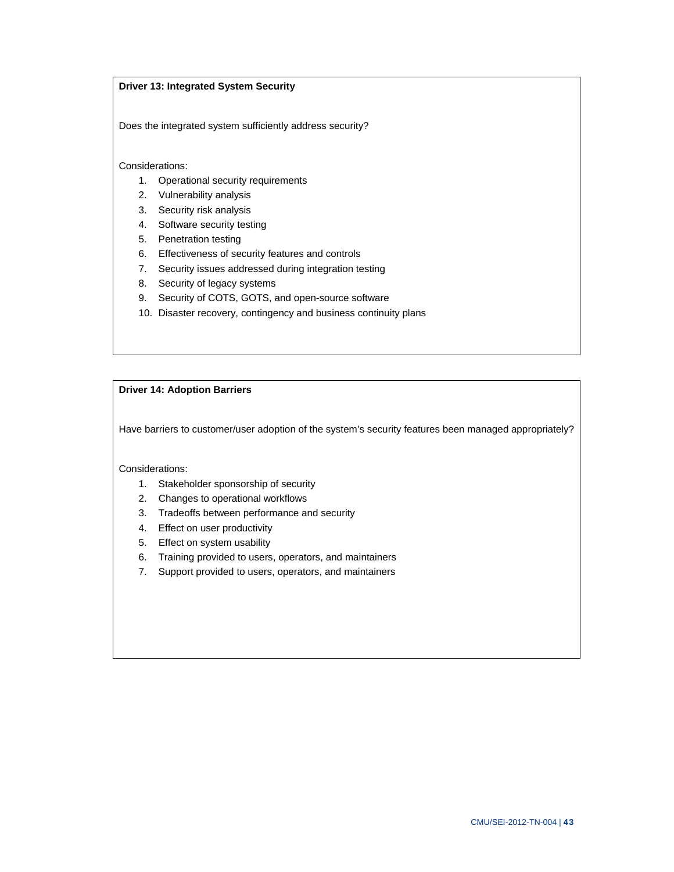#### **Driver 13: Integrated System Security**

Does the integrated system sufficiently address security?

Considerations:

- 1. Operational security requirements
- 2. Vulnerability analysis
- 3. Security risk analysis
- 4. Software security testing
- 5. Penetration testing
- 6. Effectiveness of security features and controls
- 7. Security issues addressed during integration testing
- 8. Security of legacy systems
- 9. Security of COTS, GOTS, and open-source software
- 10. Disaster recovery, contingency and business continuity plans

#### **Driver 14: Adoption Barriers**

Have barriers to customer/user adoption of the system's security features been managed appropriately?

- 1. Stakeholder sponsorship of security
- 2. Changes to operational workflows
- 3. Tradeoffs between performance and security
- 4. Effect on user productivity
- 5. Effect on system usability
- 6. Training provided to users, operators, and maintainers
- 7. Support provided to users, operators, and maintainers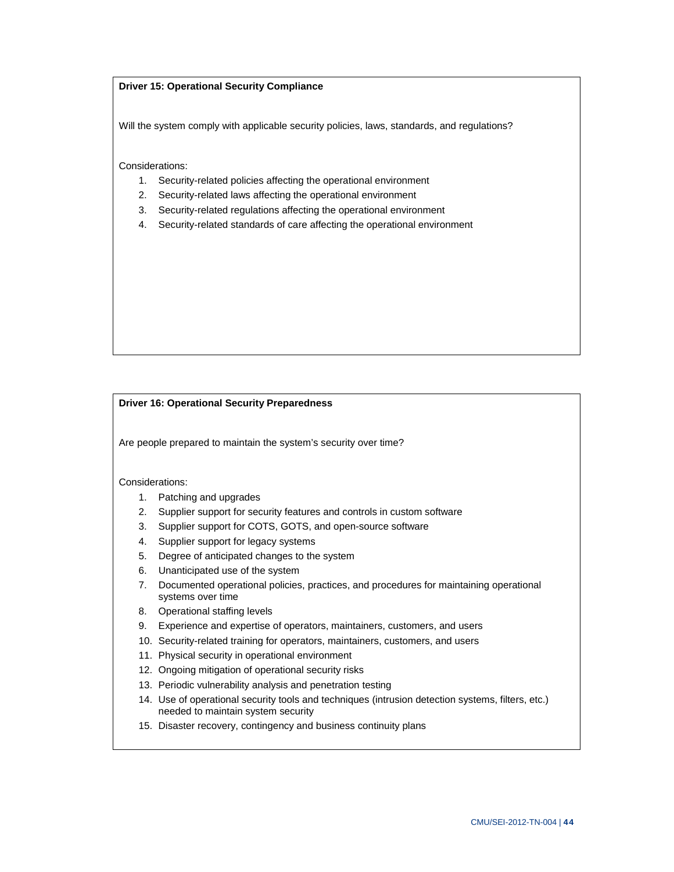#### **Driver 15: Operational Security Compliance**

Will the system comply with applicable security policies, laws, standards, and regulations?

Considerations:

- 1. Security-related policies affecting the operational environment
- 2. Security-related laws affecting the operational environment
- 3. Security-related regulations affecting the operational environment
- 4. Security-related standards of care affecting the operational environment

#### **Driver 16: Operational Security Preparedness**

Are people prepared to maintain the system's security over time?

- 1. Patching and upgrades
- 2. Supplier support for security features and controls in custom software
- 3. Supplier support for COTS, GOTS, and open-source software
- 4. Supplier support for legacy systems
- 5. Degree of anticipated changes to the system
- 6. Unanticipated use of the system
- 7. Documented operational policies, practices, and procedures for maintaining operational systems over time
- 8. Operational staffing levels
- 9. Experience and expertise of operators, maintainers, customers, and users
- 10. Security-related training for operators, maintainers, customers, and users
- 11. Physical security in operational environment
- 12. Ongoing mitigation of operational security risks
- 13. Periodic vulnerability analysis and penetration testing
- 14. Use of operational security tools and techniques (intrusion detection systems, filters, etc.) needed to maintain system security
- 15. Disaster recovery, contingency and business continuity plans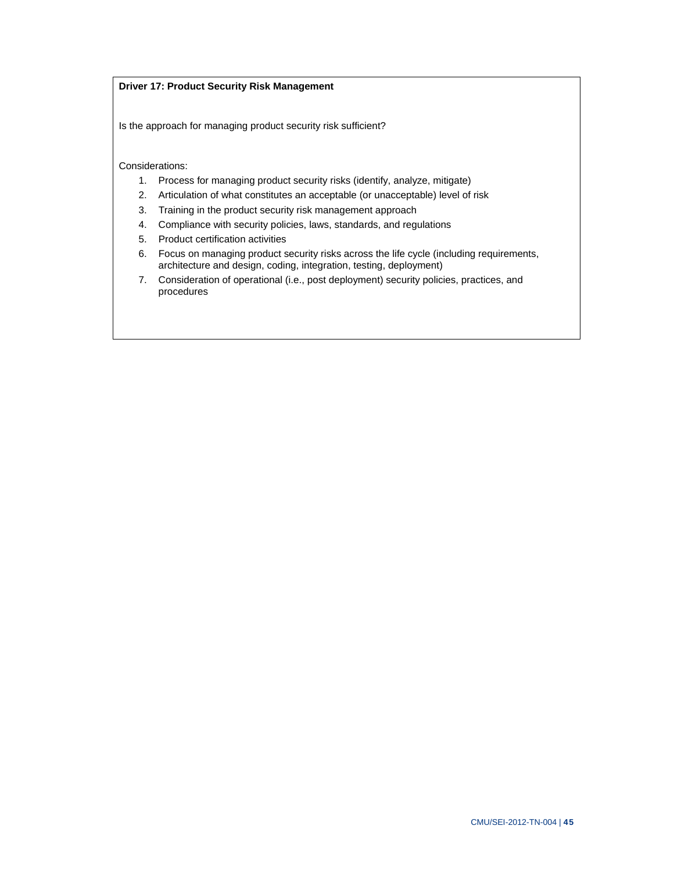#### **Driver 17: Product Security Risk Management**

Is the approach for managing product security risk sufficient?

- 1. Process for managing product security risks (identify, analyze, mitigate)
- 2. Articulation of what constitutes an acceptable (or unacceptable) level of risk
- 3. Training in the product security risk management approach
- 4. Compliance with security policies, laws, standards, and regulations
- 5. Product certification activities
- 6. Focus on managing product security risks across the life cycle (including requirements, architecture and design, coding, integration, testing, deployment)
- 7. Consideration of operational (i.e., post deployment) security policies, practices, and procedures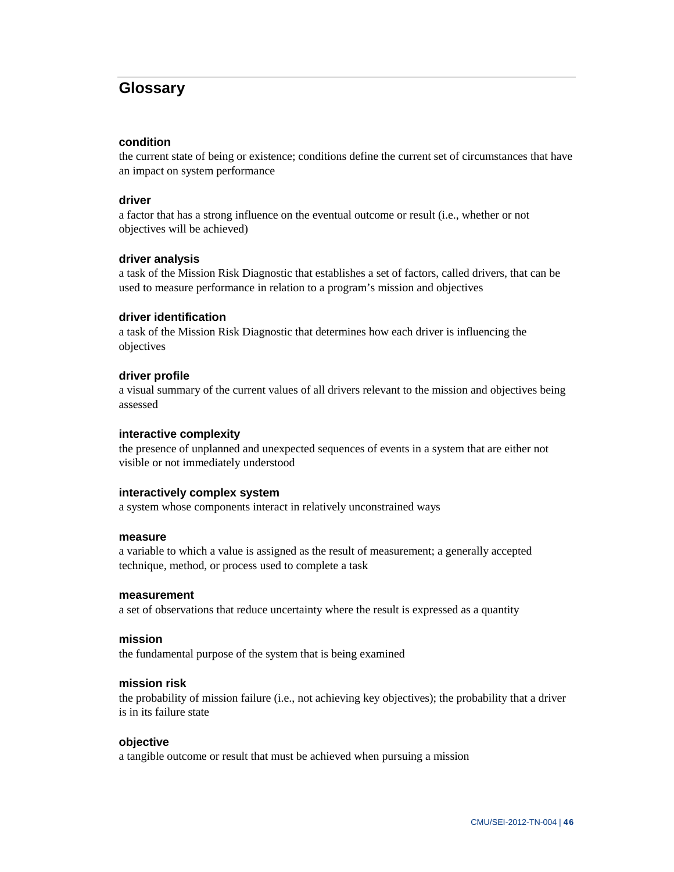# **Glossary**

#### **condition**

the current state of being or existence; conditions define the current set of circumstances that have an impact on system performance

### **driver**

a factor that has a strong influence on the eventual outcome or result (i.e., whether or not objectives will be achieved)

#### **driver analysis**

a task of the Mission Risk Diagnostic that establishes a set of factors, called drivers, that can be used to measure performance in relation to a program's mission and objectives

#### **driver identification**

a task of the Mission Risk Diagnostic that determines how each driver is influencing the objectives

#### **driver profile**

a visual summary of the current values of all drivers relevant to the mission and objectives being assessed

#### **interactive complexity**

the presence of unplanned and unexpected sequences of events in a system that are either not visible or not immediately understood

#### **interactively complex system**

a system whose components interact in relatively unconstrained ways

#### **measure**

a variable to which a value is assigned as the result of measurement; a generally accepted technique, method, or process used to complete a task

#### **measurement**

a set of observations that reduce uncertainty where the result is expressed as a quantity

#### **mission**

the fundamental purpose of the system that is being examined

### **mission risk**

the probability of mission failure (i.e., not achieving key objectives); the probability that a driver is in its failure state

#### **objective**

a tangible outcome or result that must be achieved when pursuing a mission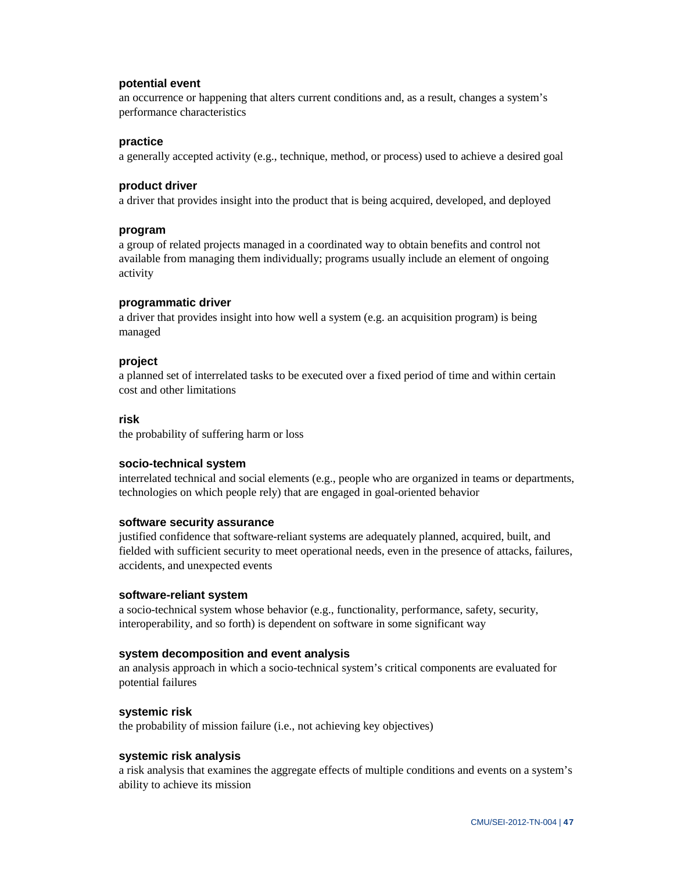#### **potential event**

an occurrence or happening that alters current conditions and, as a result, changes a system's performance characteristics

#### **practice**

a generally accepted activity (e.g., technique, method, or process) used to achieve a desired goal

#### **product driver**

a driver that provides insight into the product that is being acquired, developed, and deployed

#### **program**

a group of related projects managed in a coordinated way to obtain benefits and control not available from managing them individually; programs usually include an element of ongoing activity

#### **programmatic driver**

a driver that provides insight into how well a system (e.g. an acquisition program) is being managed

#### **project**

a planned set of interrelated tasks to be executed over a fixed period of time and within certain cost and other limitations

#### **risk**

the probability of suffering harm or loss

#### **socio-technical system**

interrelated technical and social elements (e.g., people who are organized in teams or departments, technologies on which people rely) that are engaged in goal-oriented behavior

#### **software security assurance**

justified confidence that software-reliant systems are adequately planned, acquired, built, and fielded with sufficient security to meet operational needs, even in the presence of attacks, failures, accidents, and unexpected events

#### **software-reliant system**

a socio-technical system whose behavior (e.g., functionality, performance, safety, security, interoperability, and so forth) is dependent on software in some significant way

#### **system decomposition and event analysis**

an analysis approach in which a socio-technical system's critical components are evaluated for potential failures

#### **systemic risk**

the probability of mission failure (i.e., not achieving key objectives)

#### **systemic risk analysis**

a risk analysis that examines the aggregate effects of multiple conditions and events on a system's ability to achieve its mission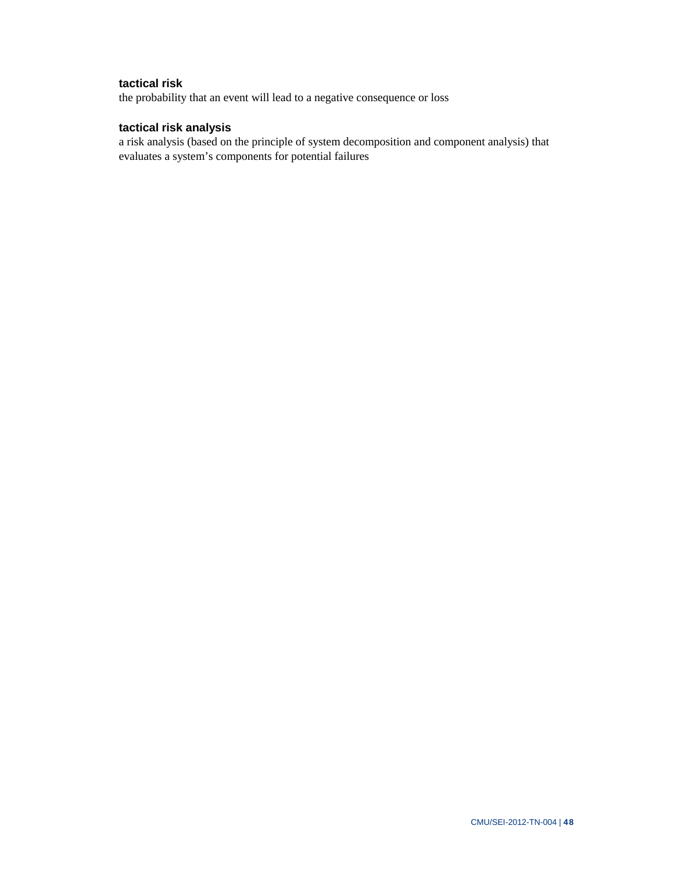# **tactical risk**

the probability that an event will lead to a negative consequence or loss

# **tactical risk analysis**

a risk analysis (based on the principle of system decomposition and component analysis) that evaluates a system's components for potential failures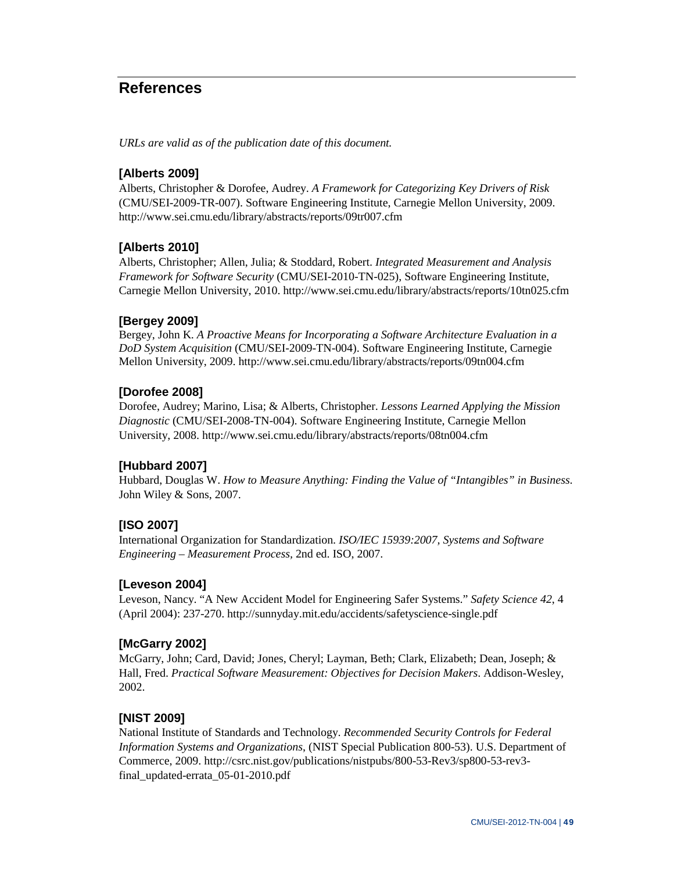# **References**

*URLs are valid as of the publication date of this document.* 

# **[Alberts 2009]**

Alberts, Christopher & Dorofee, Audrey. *A Framework for Categorizing Key Drivers of Risk* (CMU/SEI-2009-TR-007). Software Engineering Institute, Carnegie Mellon University, 2009. <http://www.sei.cmu.edu/library/abstracts/reports/09tr007.cfm>

# **[Alberts 2010]**

Alberts, Christopher; Allen, Julia; & Stoddard, Robert. *Integrated Measurement and Analysis Framework for Software Security* (CMU/SEI-2010-TN-025), Software Engineering Institute, Carnegie Mellon University, 2010.<http://www.sei.cmu.edu/library/abstracts/reports/10tn025.cfm>

# **[Bergey 2009]**

Bergey, John K. *A Proactive Means for Incorporating a Software Architecture Evaluation in a DoD System Acquisition* (CMU/SEI-2009-TN-004). Software Engineering Institute, Carnegie Mellon University, 2009. <http://www.sei.cmu.edu/library/abstracts/reports/09tn004.cfm>

# **[Dorofee 2008]**

Dorofee, Audrey; Marino, Lisa; & Alberts, Christopher. *Lessons Learned Applying the Mission Diagnostic* (CMU/SEI-2008-TN-004). Software Engineering Institute, Carnegie Mellon University, 2008. <http://www.sei.cmu.edu/library/abstracts/reports/08tn004.cfm>

# **[Hubbard 2007]**

Hubbard, Douglas W. *How to Measure Anything: Finding the Value of "Intangibles" in Business*. John Wiley & Sons, 2007.

# **[ISO 2007]**

International Organization for Standardization. *ISO/IEC 15939:2007, Systems and Software Engineering – Measurement Process,* 2nd ed. ISO, 2007.

# **[Leveson 2004]**

Leveson, Nancy. "A New Accident Model for Engineering Safer Systems." *Safety Science 42*, 4 (April 2004): 237-270. <http://sunnyday.mit.edu/accidents/safetyscience-single.pdf>

# **[McGarry 2002]**

McGarry, John; Card, David; Jones, Cheryl; Layman, Beth; Clark, Elizabeth; Dean, Joseph; & Hall, Fred. *Practical Software Measurement: Objectives for Decision Makers*. Addison-Wesley, 2002.

# **[NIST 2009]**

National Institute of Standards and Technology. *Recommended Security Controls for Federal Information Systems and Organizations*, (NIST Special Publication 800-53). U.S. Department of Commerce, 2009. [http://csrc.nist.gov/publications/nistpubs/800-53-Rev3/sp800-53-rev3](http://csrc.nist.gov/publications/nistpubs/800-53-Rev3/sp800-53-rev3-final_updated-errata_05-01-2010.pdf) [final\\_updated-errata\\_05-01-2010.pdf](http://csrc.nist.gov/publications/nistpubs/800-53-Rev3/sp800-53-rev3-final_updated-errata_05-01-2010.pdf)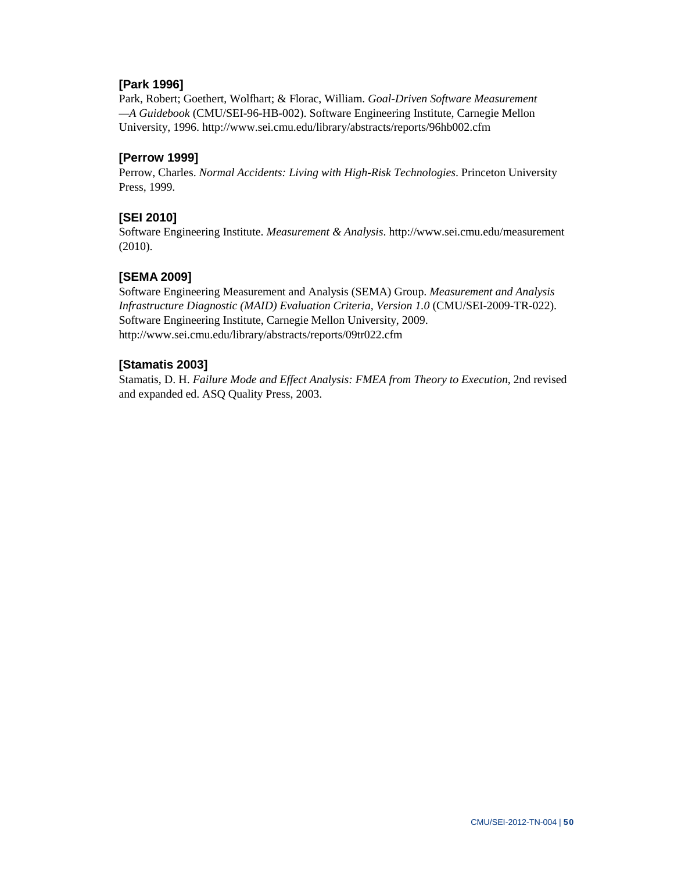# **[Park 1996]**

Park, Robert; Goethert, Wolfhart; & Florac, William. *Goal-Driven Software Measurement —A Guidebook* (CMU/SEI-96-HB-002). Software Engineering Institute, Carnegie Mellon University, 1996. <http://www.sei.cmu.edu/library/abstracts/reports/96hb002.cfm>

# **[Perrow 1999]**

Perrow, Charles. *Normal Accidents: Living with High-Risk Technologies*. Princeton University Press, 1999.

# **[SEI 2010]**

Software Engineering Institute. *Measurement & Analysis*. <http://www.sei.cmu.edu/measurement> (2010).

# **[SEMA 2009]**

Software Engineering Measurement and Analysis (SEMA) Group. *Measurement and Analysis Infrastructure Diagnostic (MAID) Evaluation Criteria, Version 1.0* (CMU/SEI-2009-TR-022). Software Engineering Institute, Carnegie Mellon University, 2009. <http://www.sei.cmu.edu/library/abstracts/reports/09tr022.cfm>

# **[Stamatis 2003]**

Stamatis, D. H. *Failure Mode and Effect Analysis: FMEA from Theory to Execution*, 2nd revised and expanded ed. ASQ Quality Press, 2003.